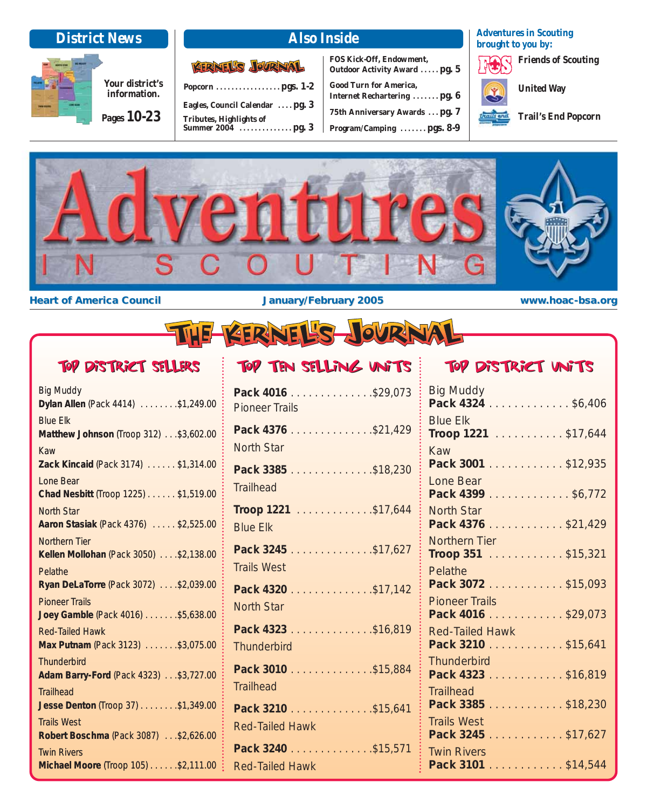### **District News Also Inside**

**Your district's** 

**Pages 10-23**

**information.**

| <b>KERNEL'S JOURNAL</b>         |
|---------------------------------|
|                                 |
| Eagles, Council Calendar  pg. 3 |
| <b>Tributes, Highlights of</b>  |

**Summer 2004 . . . . . . . . . . . . . . pg. 3**

**FOS Kick-Off, Endowment, Outdoor Activity Award . . . . . pg. 5**

| <b>Good Turn for America,</b>  |
|--------------------------------|
| Internet Rechartering  pg. 6   |
| 75th Anniversary Awards  pg. 7 |
| Program/Camping  pgs. 8-9      |

**Adventures in Scouting brought to you by:**

**Friends of Scouting**

**United Way**

**Trail's End Popcorn**



**Heart of America Council <b>the Council the America Council January/February 2005 www.hoac-bsa.org** 

# Top District Sellers

| Big Muddy<br>Dylan Allen (Pack 4414) \$1,249.00                |
|----------------------------------------------------------------|
| <b>Blue Elk</b><br>Matthew Johnson (Troop 312) \$3,602.00      |
| Kaw<br>Zack Kincaid (Pack 3174) \$1,314.00                     |
| <b>Lone Bear</b><br>Chad Nesbitt (Troop 1225) \$1,519.00       |
| <b>North Star</b><br>Aaron Stasiak (Pack 4376) \$2,525.00      |
| <b>Northern Tier</b><br>Kellen Mollohan (Pack 3050) \$2,138.00 |
| Pelathe<br>Ryan DeLaTorre (Pack 3072) \$2,039.00               |
| <b>Pioneer Trails</b><br>Joey Gamble (Pack 4016) \$5,638.00    |
| <b>Red-Tailed Hawk</b><br>Max Putnam (Pack 3123) \$3,075.00    |
| <b>Thunderbird</b><br>Adam Barry-Ford (Pack 4323) \$3,727.00   |
| <b>Trailhead</b><br>Jesse Denton (Troop 37) \$1,349.00         |
| <b>Trails West</b><br>Robert Boschma (Pack 3087) \$2,626.00    |
| <b>Twin Rivers</b><br>Michael Moore (Troop 105) \$2,111.00     |
|                                                                |

### Top District affrice  $\frac{1}{2}$  Top Ten Selling Units  $\frac{1}{2}$  Top District Units

| Pack 4016 \$29,073<br><b>Pioneer Trails</b>   |
|-----------------------------------------------|
| Pack 4376 \$21,429<br><b>North Star</b>       |
| Pack 3385 \$18,230<br><b>Trailhead</b>        |
| <b>Troop 1221</b> \$17,644<br><b>Blue Elk</b> |
| Pack 3245 \$17,627<br><b>Trails West</b>      |
| Pack 4320 \$17,142<br><b>North Star</b>       |
| Pack 4323 \$16,819<br><b>Thunderbird</b>      |
| Pack 3010 \$15,884<br><b>Trailhead</b>        |
| Pack 3210 \$15,641<br><b>Red-Tailed Hawk</b>  |
| Pack 3240 \$15,571<br><b>Red-Tailed Hawk</b>  |

### Top District Units

| Big Muddy<br>Pack 4324 \$6,406               |
|----------------------------------------------|
| <b>Blue Elk</b><br>Troop 1221 \$17,644       |
| Kaw<br>Pack 3001 \$12,935                    |
| Lone Bear<br>Pack 4399 \$6,772               |
| <b>North Star</b><br>Pack 4376 \$21,429      |
| Northern Tier<br>Troop 351 \$15,321          |
| Pelathe<br>Pack 3072 \$15,093                |
| <b>Pioneer Trails</b><br>Pack 4016 \$29,073  |
| <b>Red-Tailed Hawk</b><br>Pack 3210 \$15,641 |
| <b>Thunderbird</b><br>Pack 4323 \$16,819     |
| <b>Trailhead</b><br>Pack 3385 \$18,230       |
| <b>Trails West</b><br>Pack 3245 \$17,627     |
| <b>Twin Rivers</b><br>Pack 3101 \$14,544     |
|                                              |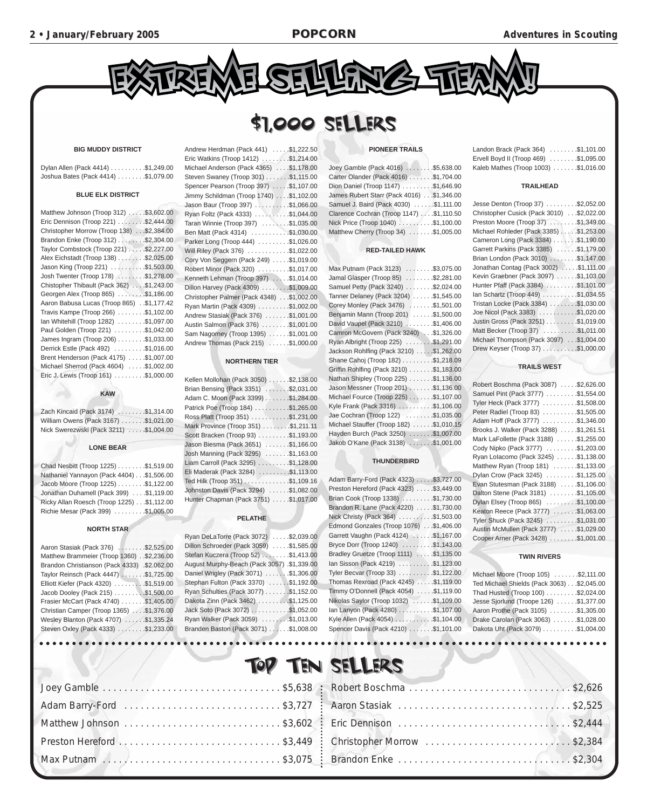

### \$1,000 SELLERS

#### **BIG MUDDY DISTRICT**

| Dylan Allen (Pack 4414) \$1,249.00  |  |
|-------------------------------------|--|
| Joshua Bates (Pack 4414) \$1,079.00 |  |

#### **BLUE ELK DISTRICT**

| Matthew Johnson (Troop 312) \$3,602.00      |
|---------------------------------------------|
| Eric Dennison (Troop 221) \$2,444.00        |
| Christopher Morrow (Troop 138) \$2,384.00   |
| Brandon Enke (Troop 312) \$2,304.00         |
| Taylor Combstock (Troop 221) \$2,227.00     |
| Alex Eichstadt (Troop 138) \$2,025.00       |
| Jason King (Troop 221) \$1,503.00           |
| Josh Twenter (Troop 178) \$1,278.00         |
| Chistopher Thibault (Pack 362) \$1,243.00   |
| Georgen Alex (Troop 865) \$1,186.00         |
| Aaron Babusa Lucas (Troop 865) . \$1,177.42 |
| Travis Kampe (Troop 266) \$1,102.00         |
| lan Whitehill (Troop 1282) \$1,097.00       |
| Paul Golden (Troop 221) \$1,042.00          |
| James Ingram (Troop 206) \$1,033.00         |
| Derrick Estle (Pack 492) \$1,016.00         |
| Brent Henderson (Pack 4175) \$1,007.00      |
| Michael Sherrod (Pack 4604) \$1,002.00      |
| Eric J. Lewis (Troop 161) \$1,000.00        |

#### **KAW**

| Zach Kincaid (Pack 3174) \$1,314.00    |  |
|----------------------------------------|--|
| William Owens (Pack 3167) \$1,021.00   |  |
| Nick Swerezwski (Pack 3211) \$1,004.00 |  |

#### **LONE BEAR**

| Chad Nesbitt (Troop 1225) \$1,519.00       |
|--------------------------------------------|
| Nathaniel Yannayon (Pack 4404) \$1,506.00  |
| Jacob Moore (Troop 1225) \$1,122.00        |
| Jonathan Duhamell (Pack 399) \$1,119.00    |
| Ricky Allan Roesch (Troop 1225) \$1,112.00 |
| Richie Mesar (Pack 399) \$1,005.00         |

#### **NORTH STAR**

| Aaron Stasiak (Pack 376) \$2,525.00          |
|----------------------------------------------|
| Matthew Brammeier (Troop 1360) \$2,236.00    |
| Brandon Christianson (Pack 4333) .\$2.062.00 |
| Taylor Reinsch (Pack 4447) \$1,725.00        |
| Elliott Kiefer (Pack 4320) \$1,519.00        |
| Jacob Dooley (Pack 215) \$1,500.00           |
| Frasier McCart (Pack 4740) \$1,405.00        |
| Christian Camper (Troop 1365) \$1,376.00     |
| Wesley Blanton (Pack 4707) \$1,335.24        |
| Steven Oxley (Pack 4333) \$1,233.00          |
|                                              |

| Andrew Herdman (Pack 441) \$1,222.50      |
|-------------------------------------------|
| Eric Watkins (Troop 1412) \$1,214.00      |
| Michael Anderson (Pack 4365) \$1,178.00   |
| Steven Swaney (Troop 301) \$1,115.00      |
| Spencer Pearson (Troop 397) \$1,107.00    |
| Jimmy Schildman (Troop 1740) \$1,102.00   |
| Jason Baur (Troop 397) \$1,066.00         |
| Ryan Foltz (Pack 4333) \$1,044.00         |
| Taran Winnie (Troop 397) \$1,035.00       |
| Ben Matt (Pack 4314) \$1,030.00           |
| Parker Long (Troop 444) \$1,026.00        |
| Will Riley (Pack 376) \$1,022.00          |
| Cory Von Seggern (Pack 249) \$1,019.00    |
| Robert Minor (Pack 320) \$1,017.00        |
| Kenneth Lehman (Troop 397) \$1,014.00     |
| Dillon Harvey (Pack 4309) \$1,009.00      |
| Christopher Palmer (Pack 4348) \$1,002.00 |
| Ryan Martin (Pack 4309) \$1,002.00        |
| Andrew Stasiak (Pack 376) \$1,001.00      |
| Austin Salmon (Pack 376) \$1,001.00       |
| Sam Nagorney (Troop 1395) \$1,001.00      |
| Andrew Thomas (Pack 215) \$1,000.00       |

#### **NORTHERN TIER**

| Kellen Mollohan (Pack 3050)\$2,138.00 |
|---------------------------------------|
| Brian Bensing (Pack 3351) \$2,031.00  |
| Adam C. Moon (Pack 3399) \$1,284.00   |
| Patrick Poe (Troop 184) \$1,265.00    |
| Ross Platt (Troop 351) \$1,231.00     |
| Mark Province (Troop 351) \$1,211.11  |
| Scott Bracken (Troop 93) \$1,193.00   |
| Jason Biesma (Pack 3651) \$1,166.00   |
| Josh Manning (Pack 3295) \$1,163.00   |
| Liam Carroll (Pack 3295) \$1,128.00   |
| Eli Maderak (Pack 3284) \$1,113.00    |
| Ted Hilk (Troop 351) \$1,109.16       |
| Johnston Davis (Pack 3294) \$1,082.00 |
| Hunter Chapman (Pack 3751) \$1,017.00 |

#### **PELATHE**

|   | Ryan DeLaTorre (Pack 3072) \$2,039.00       |
|---|---------------------------------------------|
| 0 | Dillon Schroeder (Pack 3059) \$1,585.00     |
| 0 | Stefan Kuczera (Troop 52) \$1,413.00        |
| 0 | August Murphy-Beach (Pack 3057) .\$1,339.00 |
| 0 | Daniel Wrigley (Pack 3071) \$1,306.00       |
| 0 | Stephan Fulton (Pack 3370) \$1,192.00       |
| 0 | Ryan Schulties (Pack 3077) \$1,152.00       |
| 0 | Dakota Zinn (Pack 3462) \$1,125.00          |
| 0 | Jack Soto (Pack 3072) \$1,052.00            |
| 4 | Ryan Walker (Pack 3059) \$1,013.00          |
| 0 | Branden Baston (Pack 3071) \$1,008.00       |
|   |                                             |

#### **PIONEER TRAILS**

| Joey Gamble (Pack 4016) \$5,638.00        |  |
|-------------------------------------------|--|
| Carter Olander (Pack 4016) \$1,704.00     |  |
| Dion Daniel (Troop 1147) \$1,646.90       |  |
| James Rubert Starr (Pack 4016) \$1,346.00 |  |
| Samuel J. Baird (Pack 4030) \$1,111.00    |  |
| Clarence Cochran (Troop 1147) \$1,110.50  |  |
| Nick Price (Troop 1040) \$1,100.00        |  |
| Matthew Cherry (Troop 34) \$1,005.00      |  |

#### **RED-TAILED HAWK**

| Max Putnam (Pack 3123) \$3,075.00       |
|-----------------------------------------|
| Jamal Glasper (Troop 85) \$2,281.00     |
| Samuel Petty (Pack 3240) \$2,024.00     |
| Tanner Delaney (Pack 3204) \$1,545.00   |
| Corey Monley (Pack 3476) \$1,501.00     |
| Benjamin Mann (Troop 201) \$1,500.00    |
| David Vaupel (Pack 3210) \$1,406.00     |
| Camron McGovern (Pack 3240) \$1,326.00  |
| Ryan Albright (Troop 225) \$1,291.00    |
| Jackson Rohlfing (Pack 3210) \$1,262.00 |
| Shane Cahoj (Troop 182) \$1,218.09      |
| Griffin Rohlfing (Pack 3210) \$1,183.00 |
| Nathan Shipley (Troop 225) \$1,136.00   |
| Jason Messner (Troop 201) \$1,136.00    |
| Michael Fource (Troop 225) \$1,107.00   |
| Kyle Frank (Pack 3316) \$1,106.00       |
| Jae Cochran (Troop 122) \$1,035.00      |
| Michael Stauffer (Troop 182) \$1,010.15 |
| Hayden Burch (Pack 3250) \$1,007.00     |
| Jakob O'Kane (Pack 3138) \$1,001.00     |

#### **THUNDERBIRD**

| Adam Barry-Ford (Pack 4323) \$3,727.00  |  |
|-----------------------------------------|--|
| Preston Hereford (Pack 4323) \$3,449.00 |  |
| Brian Cook (Troop 1338) \$1,730.00      |  |
| Brandon R. Lane (Pack 4220) \$1,730.00  |  |
| Nick Christy (Pack 364) \$1,503.00      |  |
| Edmond Gonzales (Troop 1076) \$1,406.00 |  |
| Garrett Vaughn (Pack 4124) \$1,167.00   |  |
| Bryce Dorr (Troop 1240) \$1,143.00      |  |
| Bradley Gruetze (Troop 1111) \$1,135.00 |  |
| lan Sisson (Pack 4219) \$1,123.00       |  |
| Tyler Becvar (Troop 33) \$1,122.00      |  |
| Thomas Rexroad (Pack 4245) \$1,119.00   |  |
| Timmy O'Donnell (Pack 4054) \$1,119.00  |  |
| Nikolas Saylor (Troop 1032) \$1,109.00  |  |
| lan Lanyon (Pack 4280) \$1,107.00       |  |
| Kyle Allen (Pack 4054) \$1,104.00       |  |
| Spencer Davis (Pack 4210) \$1,101.00    |  |

| Landon Brack (Pack 364) \$1,101.00    |  |
|---------------------------------------|--|
| Ervell Boyd II (Troop 469) \$1,095.00 |  |
| Kaleb Mathes (Troop 1003) \$1,016.00  |  |

#### **TRAILHEAD**

| Jesse Denton (Troop 37) \$2,052.00        |  |
|-------------------------------------------|--|
| Christopher Cusick (Pack 3010) \$2,022.00 |  |
| Preston Moore (Troop 37) \$1,349.00       |  |
| Michael Rohleder (Pack 3385) \$1,253.00   |  |
| Cameron Long (Pack 3384) \$1,190.00       |  |
| Garrett Parkins (Pack 3385) \$1,179.00    |  |
| Brian London (Pack 3010) \$1,147.00       |  |
| Jonathan Contag (Pack 3002) \$1,111.00    |  |
| Kevin Graebner (Pack 3097) \$1,103.00     |  |
| Hunter Pfaff (Pack 3384) \$1,101.00       |  |
| lan Schartz (Troop 449) \$1,034.55        |  |
| Tristan Locke (Pack 3384) \$1,030.00      |  |
| Joe Nicol (Pack 3383) \$1,020.00          |  |
| Justin Gross (Pack 3251) \$1,019.00       |  |
| Matt Becker (Troop 37) \$1,011.00         |  |
| Michael Thompson (Pack 3097) \$1,004.00   |  |
| Drew Keyser (Troop 37) \$1,000.00         |  |
|                                           |  |

#### **TRAILS WEST**

| Robert Boschma (Pack 3087) \$2,626.00   |
|-----------------------------------------|
| Samuel Pint (Pack 3777) \$1,554.00      |
| Tyler Heck (Pack 3777) \$1,508.00       |
| Peter Radiel (Troop 83) \$1,505.00      |
| Adam Hoff (Pack 3777) \$1,346.00        |
| Brooks J. Walker (Pack 3288) \$1,261.51 |
| Mark LaFollette (Pack 3188) \$1,255.00  |
| Cody Nipko (Pack 3777) \$1,203.00       |
| Ryan Lolacomo (Pack 3245) \$1,138.00    |
| Matthew Ryan (Troop 181) \$1,133.00     |
| Dylan Crow (Pack 3245) \$1,125.00       |
| Evan Stutesman (Pack 3188) \$1,106.00   |
| Dalton Stene (Pack 3181) \$1,105.00     |
| Dylan Elsey (Troop 865) \$1,100.00      |
| Keaton Reece (Pack 3777) \$1,063.00     |
| Tyler Shuck (Pack 3245) \$1,031.00      |
| Austin McMullen (Pack 3777) \$1,029.00  |
| Cooper Arner (Pack 3428) \$1,001.00     |

#### **TWIN RIVERS**

| Michael Moore (Troop 105) \$2,111.00       |
|--------------------------------------------|
| Ted Michael Shields (Pack 3063) \$2,045.00 |
| Thad Husted (Troop 100) \$2,024.00         |
| Jesse Sjorlund (Troope 126) \$1,377.00     |
| Aaron Prothe (Pack 3105) \$1,305.00        |
| Drake Carolan (Pack 3063) \$1,028.00       |
| Dakota Uht (Pack 3079) \$1,004.00          |

|  | TOP TEN SELLERS                                       |  |
|--|-------------------------------------------------------|--|
|  |                                                       |  |
|  |                                                       |  |
|  |                                                       |  |
|  | Preston Hereford \$3,449 : Christopher Morrow \$2,384 |  |
|  |                                                       |  |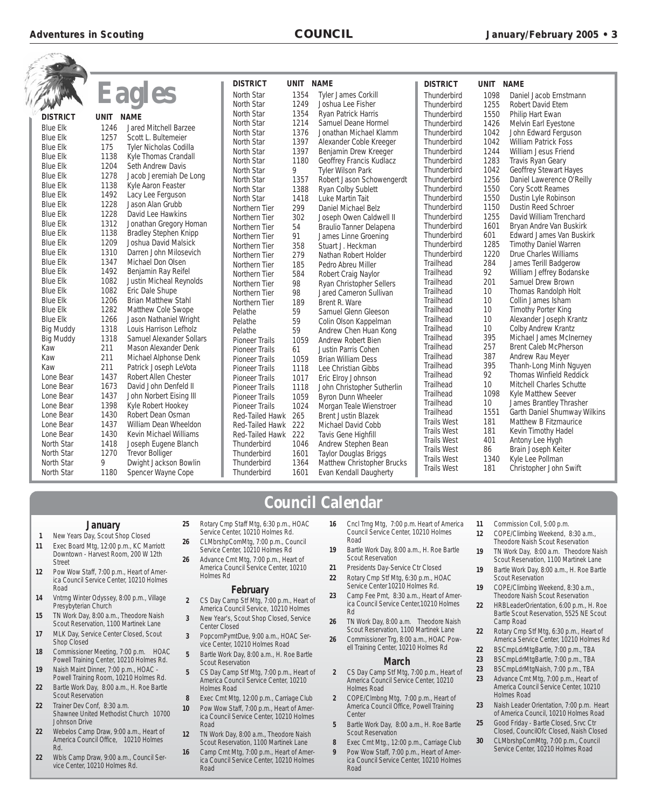|                   |             |                                 | <b>DISTRICT</b>       | <b>UNIT</b> | <b>NAME</b>                     | <b>DISTRICT</b>        | UNIT       | <b>NAME</b>                                              |
|-------------------|-------------|---------------------------------|-----------------------|-------------|---------------------------------|------------------------|------------|----------------------------------------------------------|
|                   |             | Eagles                          | North Star            | 1354        | <b>Tyler James Corkill</b>      | Thunderbird            | 1098       | Daniel Jacob Ernstmann                                   |
|                   |             |                                 | North Star            | 1249        | Joshua Lee Fisher               | Thunderbird            | 1255       | Robert David Etem                                        |
| <b>DISTRICT</b>   | <b>UNIT</b> | <b>NAME</b>                     | North Star            | 1354        | Ryan Patrick Harris             | Thunderbird            | 1550       | Philip Hart Ewan                                         |
|                   |             |                                 | North Star            | 1214        | Samuel Deane Hormel             | Thunderbird            | 1426       | Melvin Earl Eyestone                                     |
| <b>Blue Elk</b>   | 1246        | <b>Jared Mitchell Barzee</b>    | North Star            | 1376        | Jonathan Michael Klamm          | Thunderbird            | 1042       | John Edward Ferguson                                     |
| <b>Blue Elk</b>   | 1257        | Scott L. Bultemeier             | North Star            | 1397        | Alexander Coble Kreeger         | Thunderbird            | 1042       | <b>William Patrick Foss</b>                              |
| <b>Blue Elk</b>   | 175         | <b>Tyler Nicholas Codilla</b>   | North Star            | 1397        | Benjamin Drew Kreeger           | Thunderbird            | 1244       | William Jesus Friend                                     |
| <b>Blue Elk</b>   | 1138        | Kyle Thomas Crandall            | North Star            | 1180        | Geoffrey Francis Kudlacz        | Thunderbird            | 1283       | Travis Ryan Geary                                        |
| <b>Blue Elk</b>   | 1204        | <b>Seth Andrew Davis</b>        | North Star            | 9           | <b>Tyler Wilson Park</b>        | Thunderbird            | 1042       | <b>Geoffrey Stewart Hayes</b>                            |
| <b>Blue Elk</b>   | 1278        | Jacob Jeremiah De Long          | North Star            | 1357        | Robert Jason Schowengerdt       | Thunderbird            | 1256       | Daniel Lawerence O'Reilly                                |
| <b>Blue Elk</b>   | 1138        | Kyle Aaron Feaster              | North Star            | 1388        | Ryan Colby Sublett              | Thunderbird            | 1550       | Cory Scott Reames                                        |
| <b>Blue Elk</b>   | 1492        | Lacy Lee Ferguson               | North Star            | 1418        | Luke Martin Tait                | Thunderbird            | 1550       | Dustin Lyle Robinson                                     |
| <b>Blue Elk</b>   | 1228        | Jason Alan Grubb                | Northern Tier         | 299         | Daniel Michael Belz             | Thunderbird            | 1150       | <b>Dustin Reed Schroer</b>                               |
| <b>Blue Elk</b>   | 1228        | David Lee Hawkins               | Northern Tier         | 302         | Joseph Owen Caldwell II         | Thunderbird            | 1255       | David William Trenchard                                  |
| <b>Blue Elk</b>   | 1312        | Jonathan Gregory Homan          | Northern Tier         | 54          | Braulio Tanner Delapena         | Thunderbird            | 1601       | Bryan Andre Van Buskirk                                  |
| <b>Blue Elk</b>   | 1138        | <b>Bradley Stephen Knipp</b>    | Northern Tier         | 91          | James Linne Groening            | Thunderbird            | 601        | <b>Edward James Van Buskirk</b>                          |
| <b>Blue Elk</b>   | 1209        | Joshua David Malsick            | Northern Tier         | 358         | Stuart J. Heckman               | Thunderbird            | 1285       | <b>Timothy Daniel Warren</b>                             |
| <b>Blue Elk</b>   | 1310        | Darren John Milosevich          | Northern Tier         | 279         | Nathan Robert Holder            | Thunderbird            | 1220       | <b>Drue Charles Williams</b>                             |
| <b>Blue Elk</b>   | 1347        | Michael Don Olsen               | Northern Tier         | 185         | Pedro Abreu Miller              | Trailhead              | 284        | James Terill Badgerow                                    |
| <b>Blue Elk</b>   | 1492        | Benjamin Ray Reifel             | Northern Tier         | 584         | Robert Craig Naylor             | Trailhead              | 92         | William Jeffrey Bodanske                                 |
| <b>Blue Elk</b>   | 1082        | <b>Justin Micheal Reynolds</b>  | Northern Tier         | 98          | <b>Ryan Christopher Sellers</b> | Trailhead              | 201        | Samuel Drew Brown                                        |
| <b>Blue Elk</b>   | 1082        | Eric Dale Shupe                 | Northern Tier         | 98          | Jared Cameron Sullivan          | Trailhead              | 10         | Thomas Randolph Holt                                     |
| <b>Blue Elk</b>   | 1206        | <b>Brian Matthew Stahl</b>      | Northern Tier         | 189         | Brent R. Ware                   | Trailhead              | 10         | Collin James Isham                                       |
| <b>Blue Elk</b>   | 1282        | Matthew Cole Swope              | Pelathe               | 59          | Samuel Glenn Gleeson            | Trailhead              | 10         | <b>Timothy Porter King</b>                               |
| <b>Blue Elk</b>   | 1266        | Jason Nathaniel Wright          | Pelathe               | 59          | Colin Olson Kappelman           | Trailhead              | 10         | Alexander Joseph Krantz                                  |
| <b>Big Muddy</b>  | 1318        | Louis Harrison Lefholz          | Pelathe               | 59          | Andrew Chen Huan Kong           | Trailhead              | 10         | Colby Andrew Krantz                                      |
| <b>Big Muddy</b>  | 1318        | <b>Samuel Alexander Sollars</b> | <b>Pioneer Trails</b> | 1059        | Andrew Robert Bien              | Trailhead<br>Trailhead | 395<br>257 | Michael James McInerney                                  |
| Kaw               | 211         | Mason Alexander Denk            | <b>Pioneer Trails</b> | 61          | Justin Parris Cohen             | Trailhead              |            | <b>Brent Caleb McPherson</b>                             |
| Kaw               | 211         | Michael Alphonse Denk           | <b>Pioneer Trails</b> | 1059        | <b>Brian William Dess</b>       | Trailhead              | 387<br>395 | Andrew Rau Meyer                                         |
| Kaw               | 211         | Patrick Joseph LeVota           | <b>Pioneer Trails</b> | 1118        | Lee Christian Gibbs             | Trailhead              | 92         | Thanh-Long Minh Nguyen<br><b>Thomas Winfield Reddick</b> |
| Lone Bear         | 1437        | Robert Allen Chester            | <b>Pioneer Trails</b> | 1017        | Eric Elroy Johnson              | Trailhead              | 10         | Mitchell Charles Schutte                                 |
| Lone Bear         | 1673        | David John Denfeld II           | <b>Pioneer Trails</b> | 1118        | John Christopher Sutherlin      | Trailhead              | 1098       | Kyle Matthew Seever                                      |
| Lone Bear         | 1437        | John Norbert Eising III         | <b>Pioneer Trails</b> | 1059        | <b>Byron Dunn Wheeler</b>       | Trailhead              | 10         | James Brantley Thrasher                                  |
| Lone Bear         | 1398        | Kyle Robert Hookey              | <b>Pioneer Trails</b> | 1024        | Morgan Teale Wienstroer         | Trailhead              | 1551       | <b>Garth Daniel Shumway Wilkins</b>                      |
| Lone Bear         | 1430        | Robert Dean Osman               | Red-Tailed Hawk       | 265         | <b>Brent Justin Blazek</b>      | <b>Trails West</b>     | 181        | Matthew B Fitzmaurice                                    |
| Lone Bear         | 1437        | William Dean Wheeldon           | Red-Tailed Hawk       | 222         | Michael David Cobb              | <b>Trails West</b>     | 181        | Kevin Timothy Hadel                                      |
| Lone Bear         | 1430        | Kevin Michael Williams          | Red-Tailed Hawk       | 222         | Tavis Gene Highfill             | <b>Trails West</b>     | 401        | Antony Lee Hygh                                          |
| North Star        | 1418        | Joseph Eugene Blanch            | Thunderbird           | 1046        | Andrew Stephen Bean             | <b>Trails West</b>     | 86         | Brain Joseph Keiter                                      |
| North Star        | 1270        | <b>Trevor Bolliger</b>          | Thunderbird           | 1601        | <b>Taylor Douglas Briggs</b>    | <b>Trails West</b>     | 1340       | Kyle Lee Pollman                                         |
| North Star        | 9           | Dwight Jackson Bowlin           | Thunderbird           | 1364        | Matthew Christopher Brucks      | <b>Trails West</b>     | 181        | Christopher John Swift                                   |
| <b>North Star</b> | 1180        | Spencer Wayne Cope              | Thunderbird           | 1601        | Evan Kendall Daugherty          |                        |            |                                                          |
|                   |             |                                 |                       |             |                                 |                        |            |                                                          |

### **Council Calendar**

#### **January**

- **1** New Years Day, Scout Shop Closed **11** Exec Board Mtg, 12:00 p.m., KC Marriott Downtown - Harvest Room, 200 W 12th **Street**
- **12** Pow Wow Staff, 7:00 p.m., Heart of America Council Service Center, 10210 Holmes Road
- **14** Vntrng Winter Odyssey, 8:00 p.m., Village Presybyterian Church
- **15** TN Work Day, 8:00 a.m., Theodore Naish Scout Reservation, 1100 Martinek Lane
- 17 MLK Day, Service Center Closed, Scout Shop Closed
- **18** Commissioner Meeting, 7:00 p.m. HOAC Powell Training Center, 10210 Holmes Rd.
- **19** Naish Maint Dinner, 7:00 p.m., HOAC Powell Training Room, 10210 Holmes Rd.
- **22** Bartle Work Day, 8:00 a.m., H. Roe Bartle Scout Reservation
- **22** Trainer Dev Conf, 8:30 a.m. Shawnee United Methodist Church 10700 Johnson Drive
- **22** Webelos Camp Draw, 9:00 a.m., Heart of America Council Office, 10210 Holmes Rd.
- **22** Wbls Camp Draw, 9:00 a.m., Council Service Center, 10210 Holmes Rd.
- **25** Rotary Cmp Staff Mtg, 6:30 p.m., HOAC Service Center, 10210 Holmes Rd.
- **26** CLMbrshpComMtg, 7:00 p.m., Council Service Center, 10210 Holmes Rd
- **26** Advance Cmt Mtg, 7:00 p.m., Heart of America Council Service Center, 10210 Holmes Rd

#### **February**

- **2** CS Day Camp Stf Mtg, 7:00 p.m., Heart of America Council Service, 10210 Holmes
- **3** New Year's, Scout Shop Closed, Service Center Closed
- **3** PopcornPymtDue, 9:00 a.m., HOAC Service Center, 10210 Holmes Road **5** Bartle Work Day, 8:00 a.m., H. Roe Bartle
- Scout Reservation
- **5** CS Day Camp Stf Mtg, 7:00 p.m., Heart of America Council Service Center, 10210 Holmes Road
- **8** Exec Cmt Mtg, 12:00 p.m., Carriage Club
- **10** Pow Wow Staff, 7:00 p.m., Heart of America Council Service Center, 10210 Holmes Road
- **12** TN Work Day, 8:00 a.m., Theodore Naish Scout Reservation, 1100 Martinek Lane
- **16** Camp Cmt Mtg, 7:00 p.m., Heart of America Council Service Center, 10210 Holmes Road
- **16** Cncl Trng Mtg, 7:00 p.m. Heart of America Council Service Center, 10210 Holmes Road
- **19** Bartle Work Day, 8:00 a.m., H. Roe Bartle Scout Reservation
- **21** Presidents Day-Service Ctr Closed **22** Rotary Cmp Stf Mtg, 6:30 p.m., HOAC
- Service Center 10210 Holmes Rd. **23** Camp Fee Pmt, 8:30 a.m., Heart of Amer-
- ica Council Service Center,10210 Holmes Rd
- **26** TN Work Day, 8:00 a.m. Theodore Naish Scout Reservation, 1100 Martinek Lane
- **26** Commissioner Trg, 8:00 a.m., HOAC Powell Training Center, 10210 Holmes Rd

#### **March**

- **2** CS Day Camp Stf Mtg, 7:00 p.m., Heart of America Council Service Center, 10210 Holmes Road
- **2** COPE/Clmbng Mtg, 7:00 p.m., Heart of America Council Office, Powell Training **Center**
- **5** Bartle Work Day, 8:00 a.m., H. Roe Bartle Scout Reservation
- **8** Exec Cmt Mtg., 12:00 p.m., Carriage Club
- Pow Wow Staff, 7:00 p.m., Heart of America Council Service Center, 10210 Holmes Road
- **11** Commission Coll, 5:00 p.m.
- **12** COPE/Climbing Weekend, 8:30 a.m., Theodore Naish Scout Reservation
- **19** TN Work Day, 8:00 a.m. Theodore Naish Scout Reservation, 1100 Martinek Lane
- **19** Bartle Work Day, 8:00 a.m., H. Roe Bartle Scout Reservation
- **19** COPE/Climbing Weekend, 8:30 a.m., Theodore Naish Scout Reservation
- **22** HRBLeaderOrientation, 6:00 p.m., H. Roe Bartle Scout Reservation, 5525 NE Scout Camp Road
- **22** Rotary Cmp Stf Mtg, 6:30 p.m., Heart of America Service Center, 10210 Holmes Rd
- **22** BSCmpLdrMtgBartle, 7:00 p.m., TBA
- **23** BSCmpLdrMtgBartle, 7:00 p.m., TBA
- **23** BSCmpLdrMtgNaish, 7:00 p.m., TBA
- **23** Advance Cmt Mtg, 7:00 p.m., Heart of America Council Service Center, 10210 Holmes Road
- **23** Naish Leader Orientation, 7:00 p.m. Heart of America Council, 10210 Holmes Road
- **25** Good Friday Bartle Closed, Srvc Ctr Closed, CouncilOfc Closed, Naish Closed
- **30** CLMbrshpComMtg, 7:00 p.m., Council Service Center, 10210 Holmes Road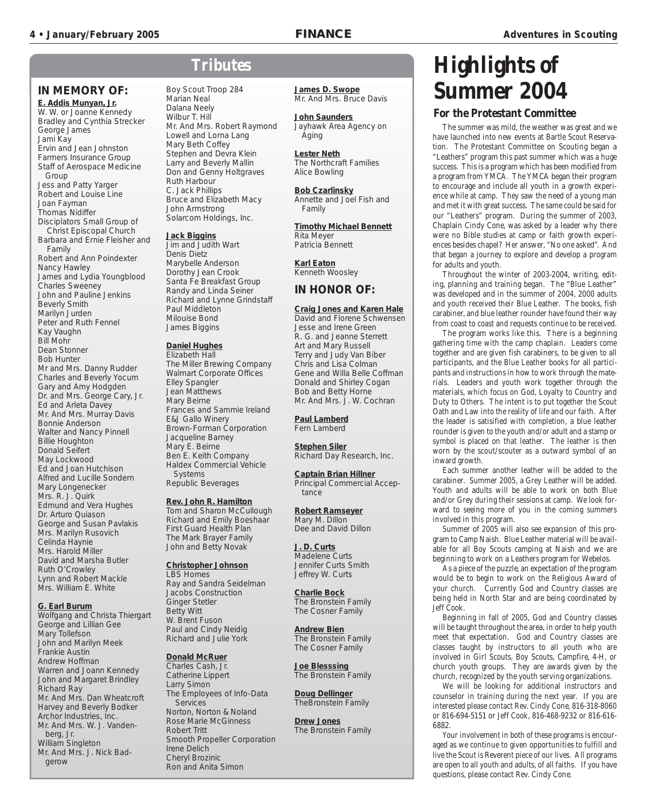Aging

#### **IN MEMORY OF:**

**E. Addis Munyan, Jr.** W. W. or Joanne Kennedy Bradley and Cynthia Strecker George James Jami Kay Ervin and Jean Johnston Farmers Insurance Group Staff of Aerospace Medicine Group Jess and Patty Yarger Robert and Louise Line Joan Fayman Thomas Nidiffer Disciplators Small Group of Christ Episcopal Church Barbara and Ernie Fleisher and Family Robert and Ann Poindexter Nancy Hawley James and Lydia Youngblood Charles Sweeney John and Pauline Jenkins Beverly Smith Marilyn Jurden Peter and Ruth Fennel Kay Vaughn Bill Mohr Dean Stonner Bob Hunter Mr and Mrs. Danny Rudder Charles and Beverly Yocum Gary and Amy Hodgden Dr. and Mrs. George Cary, Jr. Ed and Arleta Davey Mr. And Mrs. Murray Davis Bonnie Anderson Walter and Nancy Pinnell Billie Houghton Donald Seifert May Lockwood Ed and Joan Hutchison Alfred and Lucille Sondern Mary Longenecker Mrs. R. J. Quirk Edmund and Vera Hughes Dr. Arturo Quiason George and Susan Pavlakis Mrs. Marilyn Rusovich Celinda Haynie Mrs. Harold Miller David and Marsha Butler Ruth O'Crowley Lynn and Robert Mackle Mrs. William E. White

#### **G. Earl Burum**

Wolfgang and Christa Thiergart George and Lillian Gee Mary Tollefson John and Marilyn Meek Frankie Austin Andrew Hoffman Warren and Joann Kennedy John and Margaret Brindley Richard Ray Mr. And Mrs. Dan Wheatcroft Harvey and Beverly Bodker Archor Industries, Inc. Mr. And Mrs. W. J. Vandenberg, Jr. William Singleton Mr. And Mrs. J. Nick Badgerow

### **Tributes**

Boy Scout Troop 284 Marian Neal Dalana Neely Wilbur T. Hill Mr. And Mrs. Robert Raymond Lowell and Lorna Lang Mary Beth Coffey Stephen and Devra Klein Larry and Beverly Mallin Don and Genny Holtgraves Ruth Harbour C. Jack Phillips Bruce and Elizabeth Macy John Armstrong Solarcom Holdings, Inc.

#### **Jack Biggins**

Jim and Judith Wart Denis Dietz Marybelle Anderson Dorothy Jean Crook Santa Fe Breakfast Group Randy and Linda Seiner Richard and Lynne Grindstaff Paul Middleton Milouise Bond James Biggins

#### **Daniel Hughes**

Elizabeth Hall The Miller Brewing Company Walmart Corporate Offices Elley Spangler Jean Matthews Mary Beirne Frances and Sammie Ireland E&J Gallo Winery Brown-Forman Corporation Jacqueline Barney Mary E. Beirne Ben E. Keith Company Haldex Commercial Vehicle Systems Republic Beverages

#### **Rev. John R. Hamilton**

Tom and Sharon McCullough Richard and Emily Boeshaar First Guard Health Plan The Mark Brayer Family John and Betty Novak

**Christopher Johnson** LBS Homes Ray and Sandra Seidelman Jacobs Construction Ginger Stetler Betty Witt W. Brent Fuson Paul and Cindy Neidig Richard and Julie York

#### **Donald McRuer** Charles Cash, Jr. Catherine Lippert Larry Simon The Employees of Info-Data Services Norton, Norton & Noland Rose Marie McGinness Robert Tritt Smooth Propeller Corporation Irene Delich Cheryl Brozinic

Ron and Anita Simon

**James D. Swope** Mr. And Mrs. Bruce Davis

**John Saunders** Jayhawk Area Agency on

**Lester Neth** The Northcraft Families Alice Bowling

**Bob Czarlinsky** Annette and Joel Fish and Family

**Timothy Michael Bennett** Rita Meyer Patricia Bennett

**Karl Eaton** Kenneth Woosley

#### **IN HONOR OF:**

**Craig Jones and Karen Hale** David and Florene Schwensen Jesse and Irene Green R. G. and Jeanne Sterrett Art and Mary Russell Terry and Judy Van Biber Chris and Lisa Colman Gene and Willa Belle Coffman Donald and Shirley Cogan Bob and Betty Horne Mr. And Mrs. J. W. Cochran

**Paul Lamberd** Fern Lamberd

**Stephen Siler** Richard Day Research, Inc.

**Captain Brian Hillner** Principal Commercial Acceptance

**Robert Ramseyer** Mary M. Dillon Dee and David Dillon

**J. D. Curts** Madelene Curts Jennifer Curts Smith Jeffrey W. Curts

**Charlie Bock** The Bronstein Family The Cosner Family

**Andrew Bien** The Bronstein Family The Cosner Family

**Joe Blesssing** The Bronstein Family

**Doug Dellinger** TheBronstein Family

**Drew Jones** The Bronstein Family

### **Highlights of Summer 2004**

#### **For the Protestant Committee**

The summer was mild, the weather was great and we have launched into new events at Bartle Scout Reservation. The Protestant Committee on Scouting began a "Leathers" program this past summer which was a huge success. This is a program which has been modified from a program from YMCA. The YMCA began their program to encourage and include all youth in a growth experience while at camp. They saw the need of a young man and met it with great success. The same could be said for our "Leathers" program. During the summer of 2003, Chaplain Cindy Cone, was asked by a leader why there were no Bible studies at camp or faith growth experiences besides chapel? Her answer, "No one asked". And that began a journey to explore and develop a program for adults and youth.

Throughout the winter of 2003-2004, writing, editing, planning and training began. The "Blue Leather" was developed and in the summer of 2004, 2000 adults and youth received their Blue Leather. The books, fish carabiner, and blue leather rounder have found their way from coast to coast and requests continue to be received.

The program works like this. There is a beginning gathering time with the camp chaplain. Leaders come together and are given fish carabiners, to be given to all participants, and the Blue Leather books for all participants and instructions in how to work through the materials. Leaders and youth work together through the materials, which focus on God, Loyalty to Country and Duty to Others. The intent is to put together the Scout Oath and Law into the reality of life and our faith. After the leader is satisified with completion, a blue leather rounder is given to the youth and/or adult and a stamp or symbol is placed on that leather. The leather is then worn by the scout/scouter as a outward symbol of an inward growth.

Each summer another leather will be added to the carabiner. Summer 2005, a Grey Leather will be added. Youth and adults will be able to work on both Blue and/or Grey during their sessions at camp. We look forward to seeing more of you in the coming summers involved in this program.

Summer of 2005 will also see expansion of this program to Camp Naish. Blue Leather material will be available for all Boy Scouts camping at Naish and we are beginning to work on a Leathers program for Webelos.

As a piece of the puzzle, an expectation of the program would be to begin to work on the Religious Award of your church. Currently God and Country classes are being held in North Star and are being coordinated by Jeff Cook.

Beginning in fall of 2005, God and Country classes will be taught throughout the area, in order to help youth meet that expectation. God and Country classes are classes taught by instructors to all youth who are involved in Girl Scouts, Boy Scouts, Campfire, 4-H, or church youth groups. They are awards given by the church, recognized by the youth serving organizations.

We will be looking for additional instructors and counselor in training during the next year. If you are interested please contact Rev. Cindy Cone, 816-318-8060 or 816-694-5151 or Jeff Cook, 816-468-9232 or 816-616- 6882.

Your involvement in both of these programs is encouraged as we continue to given opportunities to fulfill and live the Scout is Reverent piece of our lives. All programs are open to all youth and adults, of all faiths. If you have questions, please contact Rev. Cindy Cone.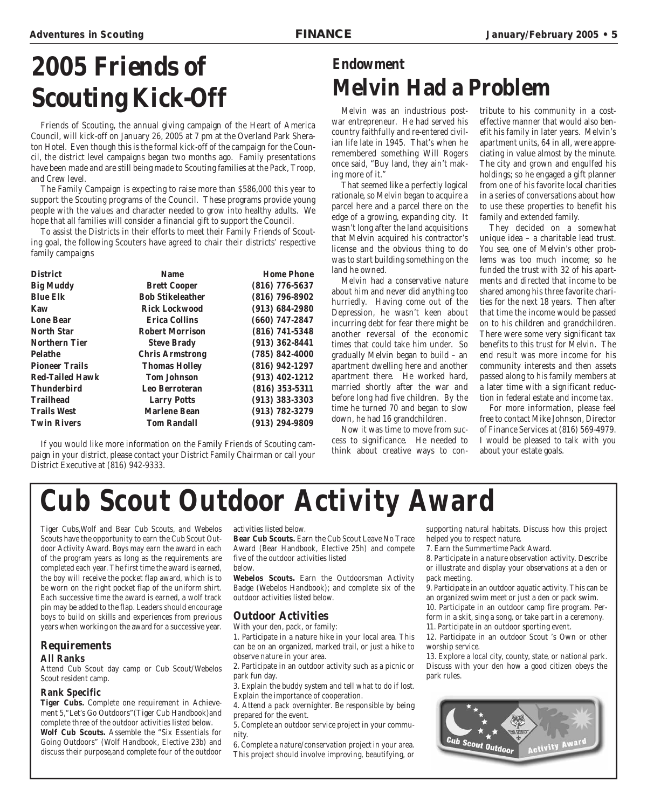# **2005 Friends of Scouting Kick-Off**

Friends of Scouting, the annual giving campaign of the Heart of America Council, will kick-off on January 26, 2005 at 7 pm at the Overland Park Sheraton Hotel. Even though this is the formal kick-off of the campaign for the Council, the district level campaigns began two months ago. Family presentations have been made and are still being made to Scouting families at the Pack, Troop, and Crew level.

The Family Campaign is expecting to raise more than \$586,000 this year to support the Scouting programs of the Council. These programs provide young people with the values and character needed to grow into healthy adults. We hope that all families will consider a financial gift to support the Council.

To assist the Districts in their efforts to meet their Family Friends of Scouting goal, the following Scouters have agreed to chair their districts' respective family campaigns

| <b>District</b>        | <b>Name</b>             | <b>Home Phone</b>  |
|------------------------|-------------------------|--------------------|
| <b>Big Muddy</b>       | <b>Brett Cooper</b>     | $(816)$ 776-5637   |
| <b>Blue Elk</b>        | <b>Bob Stikeleather</b> | $(816) 796 - 8902$ |
| Kaw                    | <b>Rick Lockwood</b>    | $(913) 684 - 2980$ |
| <b>Lone Bear</b>       | <b>Erica Collins</b>    | $(660)$ 747-2847   |
| <b>North Star</b>      | <b>Robert Morrison</b>  | $(816) 741 - 5348$ |
| <b>Northern Tier</b>   | <b>Steve Brady</b>      | $(913) 362 - 8441$ |
| <b>Pelathe</b>         | <b>Chris Armstrong</b>  | $(785) 842 - 4000$ |
| <b>Pioneer Trails</b>  | <b>Thomas Holley</b>    | $(816)$ 942-1297   |
| <b>Red-Tailed Hawk</b> | <b>Tom Johnson</b>      | $(913)$ 402-1212   |
| <b>Thunderbird</b>     | <b>Leo Berroteran</b>   | $(816)$ 353-5311   |
| <b>Trailhead</b>       | <b>Larry Potts</b>      | $(913) 383 - 3303$ |
| <b>Trails West</b>     | <b>Marlene Bean</b>     | $(913) 782 - 3279$ |
| <b>Twin Rivers</b>     | <b>Tom Randall</b>      | $(913) 294 - 9809$ |

If you would like more information on the Family Friends of Scouting campaign in your district, please contact your District Family Chairman or call your District Executive at (816) 942-9333.

### **Endowment Melvin Had a Problem**

Melvin was an industrious postwar entrepreneur. He had served his country faithfully and re-entered civilian life late in 1945. That's when he remembered something Will Rogers once said, "Buy land, they ain't making more of it."

That seemed like a perfectly logical rationale, so Melvin began to acquire a parcel here and a parcel there on the edge of a growing, expanding city. It wasn't long after the land acquisitions that Melvin acquired his contractor's license and the obvious thing to do was to start building something on the land he owned.

Melvin had a conservative nature about him and never did anything too hurriedly. Having come out of the Depression, he wasn't keen about incurring debt for fear there might be another reversal of the economic times that could take him under. So gradually Melvin began to build – an apartment dwelling here and another apartment there. He worked hard, married shortly after the war and before long had five children. By the time he turned 70 and began to slow down, he had 16 grandchildren.

Now it was time to move from success to significance. He needed to think about creative ways to contribute to his community in a costeffective manner that would also benefit his family in later years. Melvin's apartment units, 64 in all, were appreciating in value almost by the minute. The city and grown and engulfed his holdings; so he engaged a gift planner from one of his favorite local charities in a series of conversations about how to use these properties to benefit his family and extended family.

They decided on a somewhat unique idea – a charitable lead trust. You see, one of Melvin's other problems was too much income; so he funded the trust with 32 of his apartments and directed that income to be shared among his three favorite charities for the next 18 years. Then after that time the income would be passed on to his children and grandchildren. There were some very significant tax benefits to this trust for Melvin. The end result was more income for his community interests and then assets passed along to his family members at a later time with a significant reduction in federal estate and income tax.

For more information, please feel free to contact Mike Johnson, Director of Finance Services at (816) 569-4979. I would be pleased to talk with you about your estate goals.

# **Cub Scout Outdoor Activity Award**

Tiger Cubs,Wolf and Bear Cub Scouts, and Webelos Scouts have the opportunity to earn the Cub Scout Outdoor Activity Award. Boys may earn the award in each of the program years as long as the requirements are completed each year. The first time the award is earned, the boy will receive the pocket flap award, which is to be worn on the right pocket flap of the uniform shirt. Each successive time the award is earned, a wolf track pin may be added to the flap. Leaders should encourage boys to build on skills and experiences from previous years when working on the award for a successive year.

#### **Requirements**

#### **All Ranks**

Attend Cub Scout day camp or Cub Scout/Webelos Scout resident camp.

#### **Rank Specific**

**Tiger Cubs.** Complete one requirement in Achievement 5,"Let's Go Outdoors"(Tiger Cub Handbook)and complete three of the outdoor activities listed below. **Wolf Cub Scouts.** Assemble the "Six Essentials for Going Outdoors" (Wolf Handbook, Elective 23b) and discuss their purpose,and complete four of the outdoor

activities listed below.

**Bear Cub Scouts.** Earn the Cub Scout Leave No Trace Award (Bear Handbook, Elective 25h) and compete five of the outdoor activities listed below.

**Webelos Scouts.** Earn the Outdoorsman Activity Badge (Webelos Handbook); and complete six of the outdoor activities listed below.

#### **Outdoor Activities**

With your den, pack, or family:

1. Participate in a nature hike in your local area. This can be on an organized, marked trail, or just a hike to observe nature in your area.

2. Participate in an outdoor activity such as a picnic or park fun day.

3. Explain the buddy system and tell what to do if lost. Explain the importance of cooperation.

4. Attend a pack overnighter. Be responsible by being prepared for the event.

5. Complete an outdoor service project in your community.

6. Complete a nature/conservation project in your area. This project should involve improving, beautifying, or

supporting natural habitats. Discuss how this project helped you to respect nature.

7. Earn the Summertime Pack Award.

park rules.

8. Participate in a nature observation activity. Describe or illustrate and display your observations at a den or pack meeting.

9. Participate in an outdoor aquatic activity. This can be an organized swim meet or just a den or pack swim. 10. Participate in an outdoor camp fire program. Perform in a skit, sing a song, or take part in a ceremony.

11. Participate in an outdoor sporting event. 12. Participate in an outdoor Scout 's Own or other

worship service. 13. Explore a local city, county, state, or national park. Discuss with your den how a good citizen obeys the

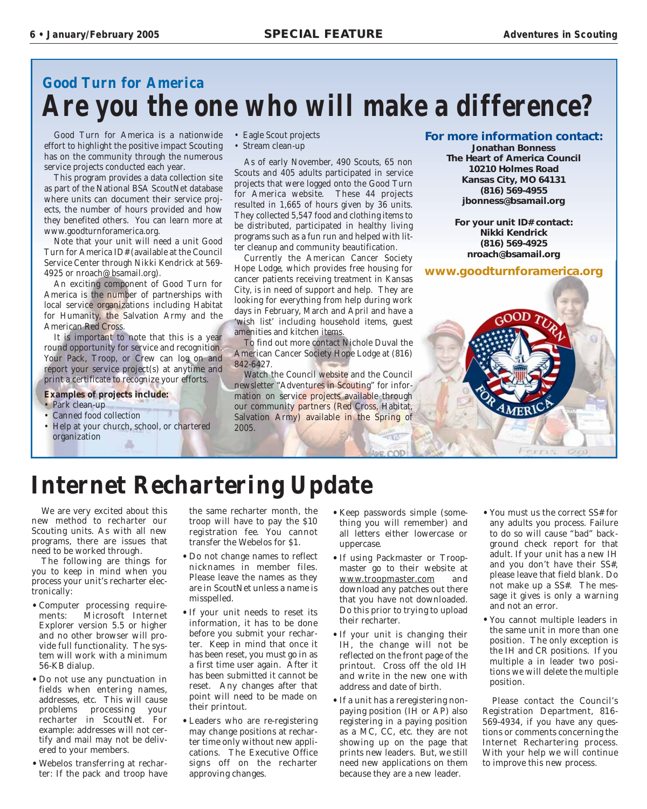### **Good Turn for America Are you the one who will make a difference?**

Good Turn for America is a nationwide effort to highlight the positive impact Scouting has on the community through the numerous service projects conducted each year.

This program provides a data collection site as part of the National BSA ScoutNet database where units can document their service projects, the number of hours provided and how they benefited others. You can learn more at www.goodturnforamerica.org.

Note that your unit will need a unit Good Turn for America ID# (available at the Council Service Center through Nikki Kendrick at 569- 4925 or nroach@bsamail.org).

An exciting component of Good Turn for America is the number of partnerships with local service organizations including Habitat for Humanity, the Salvation Army and the American Red Cross.

It is important to note that this is a year round opportunity for service and recognition. Your Pack, Troop, or Crew can log on and report your service project(s) at anytime and print a certificate to recognize your efforts.

#### **Examples of projects include:**

- Park clean-up
- Canned food collection
- Help at your church, school, or chartered organization a.
- Eagle Scout projects
- Stream clean-up

As of early November, 490 Scouts, 65 non Scouts and 405 adults participated in service projects that were logged onto the Good Turn for America website. These 44 projects resulted in 1,665 of hours given by 36 units. They collected 5,547 food and clothing items to be distributed, participated in healthy living programs such as a fun run and helped with litter cleanup and community beautification.

Currently the American Cancer Society Hope Lodge, which provides free housing for cancer patients receiving treatment in Kansas City, is in need of support and help. They are looking for everything from help during work days in February, March and April and have a 'wish list' including household items, guest amenities and kitchen items.

To find out more contact Nichole Duval the American Cancer Society Hope Lodge at (816) 842-6427.

Watch the Council website and the Council newsletter "Adventures in Scouting" for information on service projects available through our community partners (Red Cross, Habitat, Salvation Army) available in the Spring of 2005.

#### **For more information contact:**

**Jonathan Bonness The Heart of America Council 10210 Holmes Road Kansas City, MO 64131 (816) 569-4955 jbonness@bsamail.org**

**For your unit ID# contact: Nikki Kendrick (816) 569-4925 nroach@bsamail.org**

**www.goodturnforamerica.org**

### **Internet Rechartering Update**

We are very excited about this new method to recharter our Scouting units. As with all new programs, there are issues that need to be worked through.

The following are things for you to keep in mind when you process your unit's recharter electronically:

- •Computer processing require-Microsoft Internet Explorer version 5.5 or higher and no other browser will provide full functionality. The system will work with a minimum 56-KB dialup.
- •Do not use any punctuation in fields when entering names, addresses, etc. This will cause problems processing your recharter in ScoutNet. For example: addresses will not certify and mail may not be delivered to your members.
- •Webelos transferring at recharter: If the pack and troop have

the same recharter month, the troop will have to pay the \$10 registration fee. You cannot transfer the Webelos for \$1.

- •Do not change names to reflect nicknames in member files. Please leave the names as they are in ScoutNet unless a name is misspelled.
- •If your unit needs to reset its information, it has to be done before you submit your recharter. Keep in mind that once it has been reset, you must go in as a first time user again. After it has been submitted it cannot be reset. Any changes after that point will need to be made on their printout.
- Leaders who are re-registering may change positions at recharter time only without new applications. The Executive Office signs off on the recharter approving changes.
- Keep passwords simple (something you will remember) and all letters either lowercase or uppercase.
- •If using Packmaster or Troopmaster go to their website at www.troopmaster.com and download any patches out there that you have not downloaded. Do this prior to trying to upload their recharter.
- •If your unit is changing their IH, the change will not be reflected on the front page of the printout. Cross off the old IH and write in the new one with address and date of birth.
- If a unit has a reregistering nonpaying position (IH or AP) also registering in a paying position as a MC, CC, etc. they are not showing up on the page that prints new leaders. But, we still need new applications on them because they are a new leader.
- •You must us the correct SS# for any adults you process. Failure to do so will cause "bad" background check report for that adult. If your unit has a new IH and you don't have their SS#, please leave that field blank. Do not make up a SS#. The message it gives is only a warning and not an error.
- •You cannot multiple leaders in the same unit in more than one position. The only exception is the IH and CR positions. If you multiple a in leader two positions we will delete the multiple position.

Please contact the Council's Registration Department, 816- 569-4934, if you have any questions or comments concerning the Internet Rechartering process. With your help we will continue to improve this new process.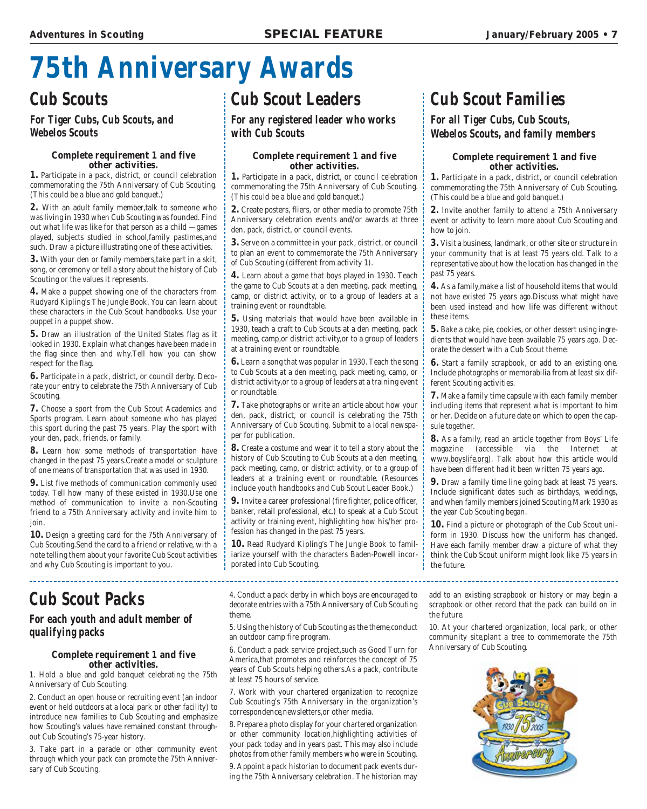# **75th Anniversary Awards**

### **Cub Scouts**

#### **For Tiger Cubs, Cub Scouts, and Webelos Scouts**

#### **Complete requirement 1 and five other activities.**

**1.** Participate in a pack, district, or council celebration commemorating the 75th Anniversary of Cub Scouting. (This could be a blue and gold banquet.)

**2.** With an adult family member,talk to someone who was living in 1930 when Cub Scouting was founded. Find out what life was like for that person as a child —games played, subjects studied in school,family pastimes,and such. Draw a picture illustrating one of these activities.

**3.** With your den or family members,take part in a skit, song, or ceremony or tell a story about the history of Cub Scouting or the values it represents.

**4.** Make a puppet showing one of the characters from Rudyard Kipling's The Jungle Book. You can learn about these characters in the Cub Scout handbooks. Use your puppet in a puppet show.

**5.** Draw an illustration of the United States flag as it looked in 1930. Explain what changes have been made in the flag since then and why.Tell how you can show respect for the flag.

**6.** Participate in a pack, district, or council derby. Decorate your entry to celebrate the 75th Anniversary of Cub Scouting.

**7.** Choose a sport from the Cub Scout Academics and Sports program. Learn about someone who has played this sport during the past 75 years. Play the sport with your den, pack, friends, or family.

**8.** Learn how some methods of transportation have changed in the past 75 years.Create a model or sculpture of one means of transportation that was used in 1930.

**9.** List five methods of communication commonly used today. Tell how many of these existed in 1930.Use one method of communication to invite a non-Scouting friend to a 75th Anniversary activity and invite him to join.

**10.** Design a greeting card for the 75th Anniversary of Cub Scouting.Send the card to a friend or relative, with a note telling them about your favorite Cub Scout activities and why Cub Scouting is important to you.

### **Cub Scout Packs**

#### **For each youth and adult member of qualifying packs**

#### **Complete requirement 1 and five other activities.**

1. Hold a blue and gold banquet celebrating the 75th Anniversary of Cub Scouting.

2. Conduct an open house or recruiting event (an indoor event or held outdoors at a local park or other facility) to introduce new families to Cub Scouting and emphasize how Scouting's values have remained constant throughout Cub Scouting's 75-year history.

3. Take part in a parade or other community event through which your pack can promote the 75th Anniversary of Cub Scouting.

### **Cub Scout Leaders**

**For any registered leader who works with Cub Scouts**

#### **Complete requirement 1 and five other activities.**

**1.** Participate in a pack, district, or council celebration commemorating the 75th Anniversary of Cub Scouting. (This could be a blue and gold banquet.)

**2.** Create posters, fliers, or other media to promote 75th Anniversary celebration events and/or awards at three den, pack, district, or council events.

**3.** Serve on a committee in your pack, district, or council to plan an event to commemorate the 75th Anniversary of Cub Scouting (different from activity 1).

**4.** Learn about a game that boys played in 1930. Teach the game to Cub Scouts at a den meeting, pack meeting, camp, or district activity, or to a group of leaders at a training event or roundtable.

**5.** Using materials that would have been available in 1930, teach a craft to Cub Scouts at a den meeting, pack meeting, camp,or district activity,or to a group of leaders at a training event or roundtable.

**6.** Learn a song that was popular in 1930. Teach the song to Cub Scouts at a den meeting, pack meeting, camp, or district activity,or to a group of leaders at a training event or roundtable.

**7.** Take photographs or write an article about how your den, pack, district, or council is celebrating the 75th Anniversary of Cub Scouting. Submit to a local newspaper for publication.

**8.** Create a costume and wear it to tell a story about the history of Cub Scouting to Cub Scouts at a den meeting, pack meeting, camp, or district activity, or to a group of leaders at a training event or roundtable. (Resources include youth handbooks and Cub Scout Leader Book.)

**9.** Invite a career professional (fire fighter, police officer, banker, retail professional, etc.) to speak at a Cub Scout activity or training event, highlighting how his/her profession has changed in the past 75 years.

**10.** Read Rudyard Kipling's The Jungle Book to familiarize yourself with the characters Baden-Powell incorporated into Cub Scouting.

4. Conduct a pack derby in which boys are encouraged to decorate entries with a 75th Anniversary of Cub Scouting theme.

5. Using the history of Cub Scouting as the theme,conduct an outdoor camp fire program.

6. Conduct a pack service project,such as Good Turn for America,that promotes and reinforces the concept of 75 years of Cub Scouts helping others.As a pack, contribute at least 75 hours of service.

7. Work with your chartered organization to recognize Cub Scouting's 75th Anniversary in the organization's correspondence,newsletters,or other media.

8. Prepare a photo display for your chartered organization or other community location,highlighting activities of your pack today and in years past. This may also include photos from other family members who were in Scouting.

9. Appoint a pack historian to document pack events during the 75th Anniversary celebration. The historian may

### **Cub Scout Families**

#### **For all Tiger Cubs, Cub Scouts, Webelos Scouts, and family members**

#### **Complete requirement 1 and five other activities.**

**1.** Participate in a pack, district, or council celebration commemorating the 75th Anniversary of Cub Scouting. (This could be a blue and gold banquet.)

**2.** Invite another family to attend a 75th Anniversary event or activity to learn more about Cub Scouting and how to join.

**3.** Visit a business, landmark, or other site or structure in your community that is at least 75 years old. Talk to a representative about how the location has changed in the past 75 years.

**4.** As a family,make a list of household items that would not have existed 75 years ago.Discuss what might have been used instead and how life was different without these items.

**5.** Bake a cake, pie, cookies, or other dessert using ingredients that would have been available 75 years ago. Decorate the dessert with a Cub Scout theme.

**6.** Start a family scrapbook, or add to an existing one. Include photographs or memorabilia from at least six different Scouting activities.

**7.** Make a family time capsule with each family member including items that represent what is important to him or her. Decide on a future date on which to open the capsule together.

**8.** As a family, read an article together from Boys' Life magazine (accessible via the Internet at www.boyslife.org). Talk about how this article would have been different had it been written 75 years ago.

**9.** Draw a family time line going back at least 75 years. Include significant dates such as birthdays, weddings, and when family members joined Scouting.Mark 1930 as the year Cub Scouting began.

**10.** Find a picture or photograph of the Cub Scout uniform in 1930. Discuss how the uniform has changed. Have each family member draw a picture of what they think the Cub Scout uniform might look like 75 years in the future.

add to an existing scrapbook or history or may begin a scrapbook or other record that the pack can build on in the future.

10. At your chartered organization, local park, or other community site,plant a tree to commemorate the 75th Anniversary of Cub Scouting.

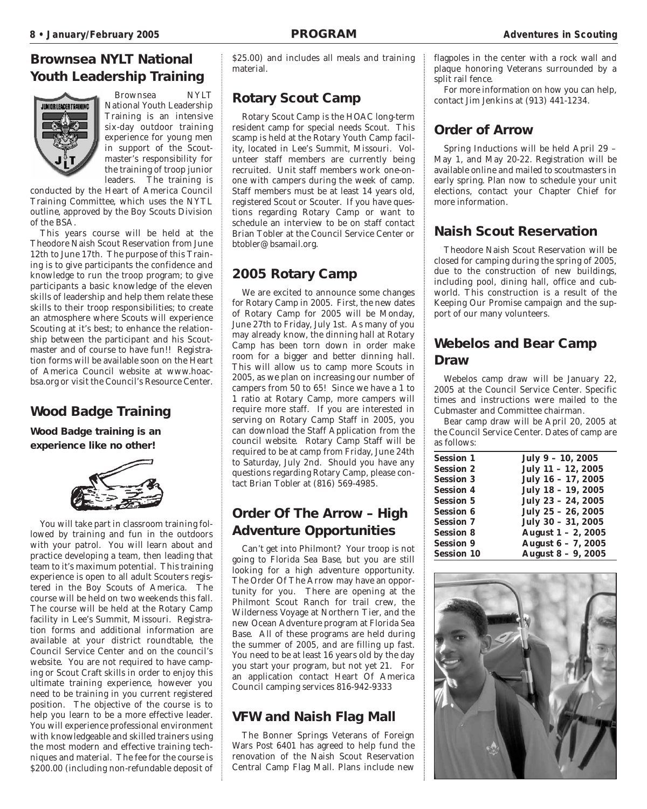#### **Brownsea NYLT National Youth Leadership Training**



Brownsea NYLT National Youth Leadership Training is an intensive six-day outdoor training experience for young men in support of the Scoutmaster's responsibility for the training of troop junior leaders. The training is

conducted by the Heart of America Council Training Committee, which uses the NYTL outline, approved by the Boy Scouts Division of the BSA.

This years course will be held at the Theodore Naish Scout Reservation from June 12th to June 17th. The purpose of this Training is to give participants the confidence and knowledge to run the troop program; to give participants a basic knowledge of the eleven skills of leadership and help them relate these skills to their troop responsibilities; to create an atmosphere where Scouts will experience Scouting at it's best; to enhance the relationship between the participant and his Scoutmaster and of course to have fun!! Registration forms will be available soon on the Heart of America Council website at www.hoacbsa.org or visit the Council's Resource Center.

#### **Wood Badge Training**

**Wood Badge training is an experience like no other!**



You will take part in classroom training followed by training and fun in the outdoors with your patrol. You will learn about and practice developing a team, then leading that team to it's maximum potential. This training experience is open to all adult Scouters registered in the Boy Scouts of America. The course will be held on two weekends this fall. The course will be held at the Rotary Camp facility in Lee's Summit, Missouri. Registration forms and additional information are available at your district roundtable, the Council Service Center and on the council's website. You are not required to have camping or Scout Craft skills in order to enjoy this ultimate training experience, however you need to be training in you current registered position. The objective of the course is to help you learn to be a more effective leader. You will experience professional environment with knowledgeable and skilled trainers using the most modern and effective training techniques and material. The fee for the course is \$200.00 (including non-refundable deposit of \$25.00) and includes all meals and training material.

#### **Rotary Scout Camp**

Rotary Scout Camp is the HOAC long-term resident camp for special needs Scout. This scamp is held at the Rotary Youth Camp facility, located in Lee's Summit, Missouri. Volunteer staff members are currently being recruited. Unit staff members work one-onone with campers during the week of camp. Staff members must be at least 14 years old, registered Scout or Scouter. If you have questions regarding Rotary Camp or want to schedule an interview to be on staff contact Brian Tobler at the Council Service Center or btobler@bsamail.org.

#### **2005 Rotary Camp**

We are excited to announce some changes for Rotary Camp in 2005. First, the new dates of Rotary Camp for 2005 will be Monday, June 27th to Friday, July 1st. As many of you may already know, the dinning hall at Rotary Camp has been torn down in order make room for a bigger and better dinning hall. This will allow us to camp more Scouts in 2005, as we plan on increasing our number of campers from 50 to 65! Since we have a 1 to 1 ratio at Rotary Camp, more campers will require more staff. If you are interested in serving on Rotary Camp Staff in 2005, you can download the Staff Application from the council website. Rotary Camp Staff will be required to be at camp from Friday, June 24th to Saturday, July 2nd. Should you have any questions regarding Rotary Camp, please contact Brian Tobler at (816) 569-4985.

#### **Order Of The Arrow – High Adventure Opportunities**

Can't get into Philmont? Your troop is not going to Florida Sea Base, but you are still looking for a high adventure opportunity. The Order Of The Arrow may have an opportunity for you. There are opening at the Philmont Scout Ranch for trail crew, the Wilderness Voyage at Northern Tier, and the new Ocean Adventure program at Florida Sea Base. All of these programs are held during the summer of 2005, and are filling up fast. You need to be at least 16 years old by the day you start your program, but not yet 21. For an application contact Heart Of America Council camping services 816-942-9333

#### **VFW and Naish Flag Mall**

The Bonner Springs Veterans of Foreign Wars Post 6401 has agreed to help fund the renovation of the Naish Scout Reservation Central Camp Flag Mall. Plans include new

flagpoles in the center with a rock wall and plaque honoring Veterans surrounded by a split rail fence.

For more information on how you can help, contact Jim Jenkins at (913) 441-1234.

#### **Order of Arrow**

Spring Inductions will be held April 29 – May 1, and May 20-22. Registration will be available online and mailed to scoutmasters in early spring. Plan now to schedule your unit elections, contact your Chapter Chief for more information.

#### **Naish Scout Reservation**

Theodore Naish Scout Reservation will be closed for camping during the spring of 2005, due to the construction of new buildings, including pool, dining hall, office and cubworld. This construction is a result of the Keeping Our Promise campaign and the support of our many volunteers.

#### **Webelos and Bear Camp Draw**

Webelos camp draw will be January 22, 2005 at the Council Service Center. Specific times and instructions were mailed to the Cubmaster and Committee chairman.

Bear camp draw will be April 20, 2005 at the Council Service Center. Dates of camp are as follows:

| <b>Session 1</b>  | July $9 - 10$ , 2005    |
|-------------------|-------------------------|
| <b>Session 2</b>  | July $11 - 12$ , 2005   |
| <b>Session 3</b>  | July $16 - 17$ , 2005   |
| <b>Session 4</b>  | July 18 - 19, 2005      |
| <b>Session 5</b>  | July $23 - 24$ , $2005$ |
| <b>Session 6</b>  | July $25 - 26$ , 2005   |
| <b>Session 7</b>  | July $30 - 31$ , $2005$ |
| <b>Session 8</b>  | August $1 - 2$ , 2005   |
| <b>Session 9</b>  | August $6 - 7$ , 2005   |
| <b>Session 10</b> | August 8 - 9, 2005      |

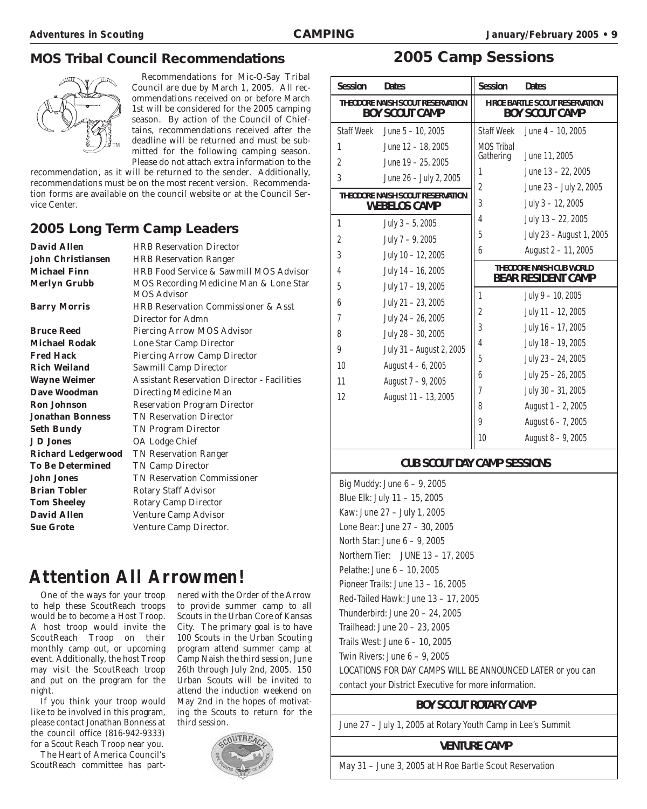#### **MOS Tribal Council Recommendations**



Recommendations for Mic-O-Say Tribal Council are due by March 1, 2005. All recommendations received on or before March 1st will be considered for the 2005 camping season. By action of the Council of Chieftains, recommendations received after the deadline will be returned and must be submitted for the following camping season. Please do not attach extra information to the

recommendation, as it will be returned to the sender. Additionally, recommendations must be on the most recent version. Recommendation forms are available on the council website or at the Council Service Center.

#### **2005 Long Term Camp Leaders**

| <b>David Allen</b>        | <b>HRB Reservation Director</b>                              |
|---------------------------|--------------------------------------------------------------|
| <b>John Christiansen</b>  | <b>HRB Reservation Ranger</b>                                |
| <b>Michael Finn</b>       | HRB Food Service & Sawmill MOS Advisor                       |
| <b>Merlyn Grubb</b>       | MOS Recording Medicine Man & Lone Star<br><b>MOS Advisor</b> |
| <b>Barry Morris</b>       | <b>HRB Reservation Commissioner &amp; Asst</b>               |
|                           | Director for Admn                                            |
| <b>Bruce Reed</b>         | Piercing Arrow MOS Advisor                                   |
| <b>Michael Rodak</b>      | Lone Star Camp Director                                      |
| <b>Fred Hack</b>          | <b>Piercing Arrow Camp Director</b>                          |
| <b>Rich Weiland</b>       | <b>Sawmill Camp Director</b>                                 |
| <b>Wayne Weimer</b>       | <b>Assistant Reservation Director - Facilities</b>           |
| Dave Woodman              | Directing Medicine Man                                       |
| <b>Ron Johnson</b>        | <b>Reservation Program Director</b>                          |
| <b>Jonathan Bonness</b>   | <b>TN Reservation Director</b>                               |
| <b>Seth Bundy</b>         | <b>TN Program Director</b>                                   |
| <b>J D Jones</b>          | OA Lodge Chief                                               |
| <b>Richard Ledgerwood</b> | <b>TN Reservation Ranger</b>                                 |
| <b>To Be Determined</b>   | <b>TN Camp Director</b>                                      |
| <b>John Jones</b>         | <b>TN Reservation Commissioner</b>                           |
| <b>Brian Tobler</b>       | <b>Rotary Staff Advisor</b>                                  |
| <b>Tom Sheeley</b>        | <b>Rotary Camp Director</b>                                  |
| <b>David Allen</b>        | Venture Camp Advisor                                         |
| <b>Sue Grote</b>          | Venture Camp Director.                                       |

### **Attention All Arrowmen!**

One of the ways for your troop to help these ScoutReach troops would be to become a Host Troop. A host troop would invite the ScoutReach Troop on their monthly camp out, or upcoming event. Additionally, the host Troop may visit the ScoutReach troop and put on the program for the night.

If you think your troop would like to be involved in this program, please contact Jonathan Bonness at the council office (816-942-9333) for a Scout Reach Troop near you.

The Heart of America Council's ScoutReach committee has partnered with the Order of the Arrow to provide summer camp to all Scouts in the Urban Core of Kansas City. The primary goal is to have 100 Scouts in the Urban Scouting program attend summer camp at Camp Naish the third session, June 26th through July 2nd, 2005. 150 Urban Scouts will be invited to attend the induction weekend on May 2nd in the hopes of motivating the Scouts to return for the third session.



#### **2005 Camp Sessions**

| <b>Session</b>                                            | <b>Dates</b>                     | <b>Session</b>                                                 | <b>Dates</b>                                          |
|-----------------------------------------------------------|----------------------------------|----------------------------------------------------------------|-------------------------------------------------------|
| THEODORE NAISH SCOUT RESERVATION<br><b>BOY SCOUT CAMP</b> |                                  | <b>H ROE BARTLE SCOUT RESERVATION</b><br><b>BOY SCOUT CAMP</b> |                                                       |
| <b>Staff Week</b>                                         | June $5 - 10$ , 2005             | <b>Staff Week</b>                                              | June $4 - 10$ , 2005                                  |
| 1                                                         | June 12 - 18, 2005               | <b>MOS Tribal</b>                                              |                                                       |
| $\overline{2}$                                            | June 19 - 25, 2005               | Gathering                                                      | June 11, 2005                                         |
| 3                                                         | June 26 - July 2, 2005           | 1                                                              | June 13 - 22, 2005                                    |
|                                                           | THEODORE NAISH SCOUT RESERVATION | 2                                                              | June 23 - July 2, 2005                                |
|                                                           | <b>WEBELOS CAMP</b>              | 3                                                              | July 3 - 12, 2005                                     |
| 1                                                         | July $3 - 5$ , 2005              | 4                                                              | July 13 - 22, 2005                                    |
| $\overline{2}$                                            | July $7 - 9$ , 2005              | 5                                                              | July 23 - August 1, 2005                              |
| 3                                                         | July 10 - 12, 2005               | 6                                                              | August 2 - 11, 2005                                   |
| 4                                                         | July 14 - 16, 2005               |                                                                | THEODORE NAISH CUB WORLD<br><b>BEAR RESIDENT CAMP</b> |
| 5                                                         | July 17 - 19, 2005               | $\mathbf{1}$                                                   | July 9 - 10, 2005                                     |
| 6                                                         | July 21 - 23, 2005               |                                                                |                                                       |
| 7                                                         | July 24 - 26, 2005               | $\overline{2}$                                                 | July 11 - 12, 2005                                    |
| 8                                                         | July 28 - 30, 2005               | 3                                                              | July 16 - 17, 2005                                    |
| 9                                                         | July 31 - August 2, 2005         | 4                                                              | July 18 - 19, 2005                                    |
| 10                                                        | August 4 - 6, 2005               | 5                                                              | July 23 - 24, 2005                                    |
| 11                                                        | August 7 - 9, 2005               | 6                                                              | July 25 - 26, 2005                                    |
| 12                                                        |                                  | $\overline{1}$                                                 | July 30 - 31, 2005                                    |
|                                                           | August 11 - 13, 2005             | 8                                                              | August 1 - 2, 2005                                    |
|                                                           |                                  | 9                                                              | August 6 - 7, 2005                                    |
|                                                           |                                  | 10                                                             | August 8 - 9, 2005                                    |

#### **CUB SCOUT DAY CAMP SESSIONS**

Big Muddy: June 6 – 9, 2005 Blue Elk: July 11 – 15, 2005 Kaw: June 27 – July 1, 2005 Lone Bear: June 27 – 30, 2005 North Star: June 6 – 9, 2005 Northern Tier: JUNE 13 – 17, 2005 Pelathe: June 6 – 10, 2005 Pioneer Trails: June 13 – 16, 2005 Red-Tailed Hawk: June 13 – 17, 2005 Thunderbird: June 20 – 24, 2005 Trailhead: June 20 – 23, 2005 Trails West: June 6 – 10, 2005 Twin Rivers: June 6 – 9, 2005 LOCATIONS FOR DAY CAMPS WILL BE ANNOUNCED LATER or you can contact your District Executive for more information.

#### **BOY SCOUT ROTARY CAMP**

June 27 – July 1, 2005 at Rotary Youth Camp in Lee's Summit

#### **VENTURE CAMP**

May 31 – June 3, 2005 at H Roe Bartle Scout Reservation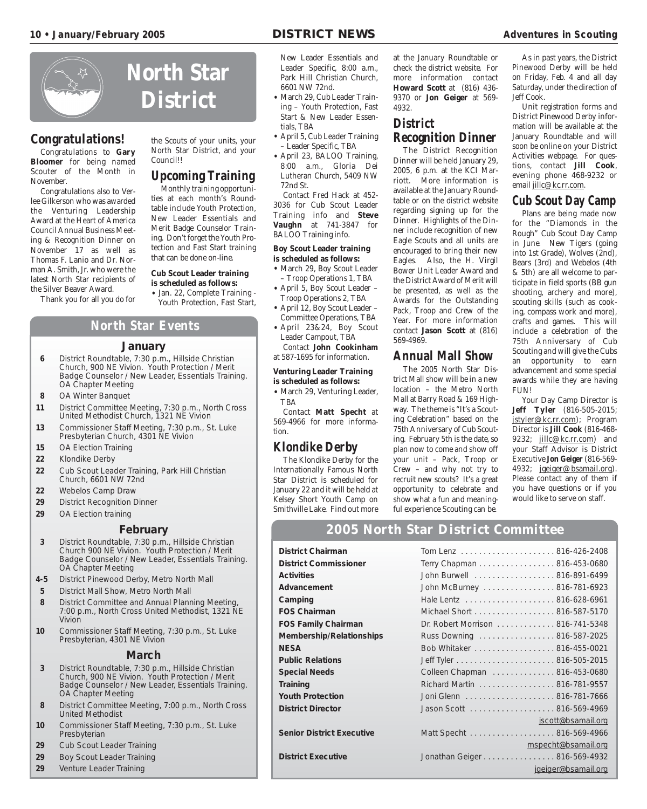

#### **Congratulations!**

Congratulations to **Gary Bloomer** for being named Scouter of the Month in November.

Congratulations also to Verlee Gilkerson who was awarded the Venturing Leadership Award at the Heart of America Council Annual Business Meeting & Recognition Dinner on November 17 as well as Thomas F. Lanio and Dr. Norman A. Smith, Jr. who were the latest North Star recipients of the Silver Beaver Award.

Thank you for all you do for

the Scouts of your units, your North Star District, and your Council!!

#### **Upcoming Training**

Monthly training opportunities at each month's Roundtable include Youth Protection, New Leader Essentials and Merit Badge Counselor Training. Don't forget the Youth Protection and Fast Start training that can be done on-line.

#### **Cub Scout Leader training is scheduled as follows:**

- Jan. 22, Complete Training Youth Protection, Fast Start,
- **North Star Events**

#### **January**

- **6** District Roundtable, 7:30 p.m., Hillside Christian Church, 900 NE Vivion. Youth Protection / Merit Badge Counselor / New Leader, Essentials Training. OA Chapter Meeting
- **8** OA Winter Banquet
- **11** District Committee Meeting, 7:30 p.m., North Cross United Methodist Church, 1321 NE Vivion
- **13** Commissioner Staff Meeting, 7:30 p.m., St. Luke Presbyterian Church, 4301 NE Vivion
- **15** OA Election Training
- **22** Klondike Derby
- **22** Cub Scout Leader Training, Park Hill Christian Church, 6601 NW 72nd
- **22** Webelos Camp Draw
- **29** District Recognition Dinner
- **29** OA Election training

#### **February**

- **3** District Roundtable, 7:30 p.m., Hillside Christian Church 900 NE Vivion. Youth Protection / Merit Badge Counselor / New Leader, Essentials Training. OA Chapter Meeting
- **4-5** District Pinewood Derby, Metro North Mall
- **5** District Mall Show, Metro North Mall
- **8** District Committee and Annual Planning Meeting, 7:00 p.m., North Cross United Methodist, 1321 NE Vivion
- **10** Commissioner Staff Meeting, 7:30 p.m., St. Luke Presbyterian, 4301 NE Vivion

#### **March**

- **3** District Roundtable, 7:30 p.m., Hillside Christian Church, 900 NE Vivion. Youth Protection / Merit Badge Counselor / New Leader, Essentials Training. OA Chapter Meeting
- **8** District Committee Meeting, 7:00 p.m., North Cross United Methodist
- **10** Commissioner Staff Meeting, 7:30 p.m., St. Luke Presbyterian
- **29** Cub Scout Leader Training
- **29** Boy Scout Leader Training
- **29** Venture Leader Training

New Leader Essentials and Leader Specific, 8:00 a.m., Park Hill Christian Church, 6601 NW 72nd.

- March 29, Cub Leader Training – Youth Protection, Fast Start & New Leader Essentials, TBA
- April 5, Cub Leader Training – Leader Specific, TBA
- April 23, BALOO Training, 8:00 a.m., Gloria Dei Lutheran Church, 5409 NW 72nd St.

Contact Fred Hack at 452- 3036 for Cub Scout Leader Training info and **Steve Vaughn** at 741-3847 for BALOO Training info.

#### **Boy Scout Leader training is scheduled as follows:**

- March 29, Boy Scout Leader – Troop Operations 1, TBA
- April 5, Boy Scout Leader Troop Operations 2, TBA
- April 12, Boy Scout Leader Committee Operations, TBA
- April 23&24, Boy Scout Leader Campout, TBA
- Contact **John Cookinham** at 587-1695 for information.

#### **Venturing Leader Training is scheduled as follows:**

• March 29, Venturing Leader, TBA

Contact **Matt Specht** at 569-4966 for more information.

#### **Klondike Derby**

The Klondike Derby for the Internationally Famous North Star District is scheduled for January 22 and it will be held at Kelsey Short Youth Camp on Smithville Lake. Find out more

at the January Roundtable or check the district website. For more information contact **Howard Scott** at (816) 436- 9370 or **Jon Geiger** at 569- 4932.

#### **District Recognition Dinner**

The District Recognition Dinner will be held January 29, 2005, 6 p.m. at the KCI Marriott. More information is available at the January Roundtable or on the district website regarding signing up for the Dinner. Highlights of the Dinner include recognition of new Eagle Scouts and all units are encouraged to bring their new Eagles. Also, the H. Virgil Bower Unit Leader Award and the District Award of Merit will be presented, as well as the Awards for the Outstanding Pack, Troop and Crew of the Year. For more information contact **Jason Scott** at (816) 569-4969.

#### **Annual Mall Show**

The 2005 North Star District Mall show will be in a new location – the Metro North Mall at Barry Road & 169 Highway. The theme is "It's a Scouting Celebration" based on the 75th Anniversary of Cub Scouting. February 5th is the date, so plan now to come and show off your unit – Pack, Troop or Crew – and why not try to recruit new scouts? It's a great opportunity to celebrate and show what a fun and meaningful experience Scouting can be.

As in past years, the District Pinewood Derby will be held on Friday, Feb. 4 and all day Saturday, under the direction of Jeff Cook.

Unit registration forms and District Pinewood Derby information will be available at the January Roundtable and will soon be online on your District Activities webpage. For questions, contact **Jill Cook**, evening phone 468-9232 or email jillc@kc.rr.com.

#### **Cub Scout Day Camp**

Plans are being made now for the "Diamonds in the Rough" Cub Scout Day Camp in June. New Tigers (going into 1st Grade), Wolves (2nd), Bears (3rd) and Webelos (4th & 5th) are all welcome to participate in field sports (BB gun shooting, archery and more), scouting skills (such as cooking, compass work and more), crafts and games. This will include a celebration of the 75th Anniversary of Cub Scouting and will give the Cubs an opportunity to earn advancement and some special awards while they are having FUN!

Your Day Camp Director is **Jeff Tyler** (816-505-2015; jstyler@kc.rr.com); Program Director is **Jill Cook** (816-468- 9232; jillc@kc.rr.com) and your Staff Advisor is District Executive **Jon Geiger** (816-569- 4932; jgeiger@bsamail.org). Please contact any of them if you have questions or if you would like to serve on staff.

#### **2005 North Star District Committee**

| <b>District Chairman</b>         |                                  |                     |
|----------------------------------|----------------------------------|---------------------|
| <b>District Commissioner</b>     | Terry Chapman 816-453-0680       |                     |
| <b>Activities</b>                | John Burwell 816-891-6499        |                     |
| Advancement                      | John McBurney 816-781-6923       |                     |
| Camping                          |                                  |                     |
| <b>FOS Chairman</b>              | Michael Short 816-587-5170       |                     |
| <b>FOS Family Chairman</b>       | Dr. Robert Morrison 816-741-5348 |                     |
| Membership/Relationships         | Russ Downing  816-587-2025       |                     |
| <b>NESA</b>                      | Bob Whitaker 816-455-0021        |                     |
| <b>Public Relations</b>          |                                  |                     |
| <b>Special Needs</b>             | Colleen Chapman 816-453-0680     |                     |
| <b>Training</b>                  | Richard Martin 816-781-9557      |                     |
| <b>Youth Protection</b>          |                                  |                     |
| <b>District Director</b>         | Jason Scott 816-569-4969         |                     |
|                                  |                                  | jscott@bsamail.org  |
| <b>Senior District Executive</b> | Matt Specht 816-569-4966         |                     |
|                                  |                                  | mspecht@bsamail.org |
| <b>District Executive</b>        | Jonathan Geiger 816-569-4932     |                     |
|                                  |                                  | jgeiger@bsamail.org |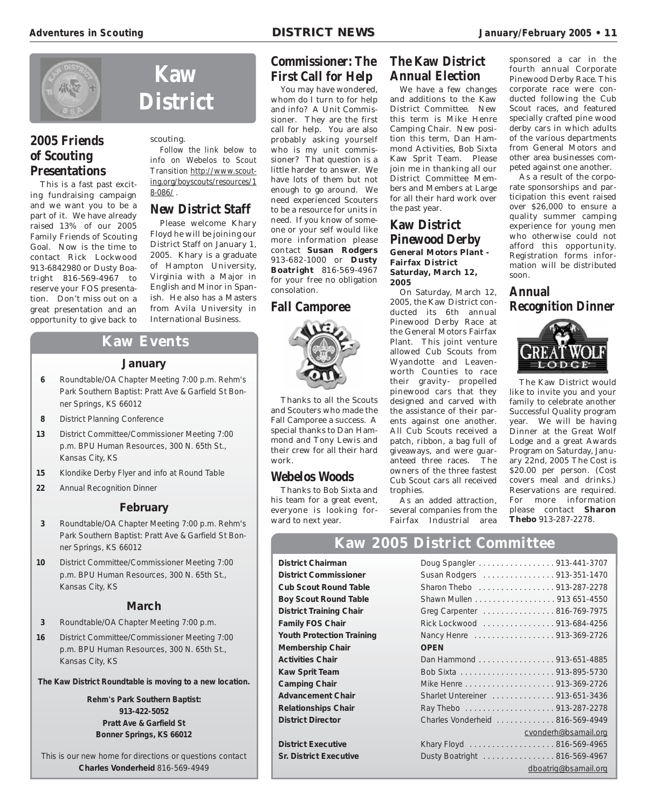

**Kaw**

**District**

Follow the link below to info on Webelos to Scout Transition http://www.scouting.org/boyscouts/resources/1

**New District Staff** Please welcome Khary Floyd he will be joining our District Staff on January 1, 2005. Khary is a graduate of Hampton University, Virginia with a Major in English and Minor in Spanish. He also has a Masters from Avila University in International Business.

scouting.

 $8 - 0.86$ /.

#### **2005 Friends of Scouting Presentations**

This is a fast past exciting fundraising campaign and we want you to be a part of it. We have already raised 13% of our 2005 Family Friends of Scouting Goal. Now is the time to contact Rick Lockwood 913-6842980 or Dusty Boatright 816-569-4967 to reserve your FOS presentation. Don't miss out on a great presentation and an opportunity to give back to

ner Springs, KS 66012 **8** District Planning Conference

Kansas City, KS

Kansas City, KS

**22** Annual Recognition Dinner

#### **Commissioner: The First Call for Help**

You may have wondered. whom do I turn to for help and info? A Unit Commissioner. They are the first call for help. You are also probably asking yourself who is my unit commissioner? That question is a little harder to answer. We have lots of them but not enough to go around. We need experienced Scouters to be a resource for units in need. If you know of someone or your self would like more information please contact **Susan Rodgers** 913-682-1000 or **Dusty Boatright** 816-569-4967 for your free no obligation consolation.

#### **Fall Camporee**



Thanks to all the Scouts and Scouters who made the Fall Camporee a success. A special thanks to Dan Hammond and Tony Lewis and their crew for all their hard work.

#### **Webelos Woods**

Thanks to Bob Sixta and his team for a great event, everyone is looking forward to next year.

#### **The Kaw District Annual Election**

We have a few changes and additions to the Kaw District Committee. New this term is Mike Henre Camping Chair. New position this term, Dan Hammond Activities, Bob Sixta Kaw Sprit Team. Please join me in thanking all our District Committee Members and Members at Large for all their hard work over the past year.

#### **Kaw District Pinewood Derby General Motors Plant - Fairfax District Saturday, March 12, 2005**

On Saturday, March 12, 2005, the Kaw District conducted its 6th annual Pinewood Derby Race at the General Motors Fairfax Plant. This joint venture allowed Cub Scouts from Wyandotte and Leavenworth Counties to race their gravity- propelled pinewood cars that they designed and carved with the assistance of their parents against one another. All Cub Scouts received a patch, ribbon, a bag full of giveaways, and were guaranteed three races. The owners of the three fastest Cub Scout cars all received trophies.

As an added attraction, several companies from the Fairfax Industrial area

#### sponsored a car in the fourth annual Corporate Pinewood Derby Race. This corporate race were conducted following the Cub Scout races, and featured specially crafted pine wood derby cars in which adults of the various departments from General Motors and other area businesses competed against one another.

As a result of the corporate sponsorships and participation this event raised over \$26,000 to ensure a quality summer camping experience for young men who otherwise could not afford this opportunity. Registration forms information will be distributed soon.

#### **Annual Recognition Dinner**



The Kaw District would like to invite you and your family to celebrate another Successful Quality program year. We will be having Dinner at the Great Wolf Lodge and a great Awards Program on Saturday, January 22nd, 2005 The Cost is \$20.00 per person. (Cost covers meal and drinks.) Reservations are required. For more information please contact **Sharon Thebo** 913-287-2278.

**District Commissioner Cub Scout Round Table Boy Scout Round Table District Training Chair Family FOS Chair Youth Protection Training Membership Chair Activities Chair Kaw Sprit Team Camping Chair Advancement Chair Relationships Chair District Director** 

**District Executive Sr. District Executive** 

**3** Roundtable/OA Chapter Meeting 7:00 p.m. Rehm's Park Southern Baptist: Pratt Ave & Garfield St Bonner Springs, KS 66012 **10** District Committee/Commissioner Meeting 7:00 p.m. BPU Human Resources, 300 N. 65th St.,

**February**

**Kaw Events**

**January 6** Roundtable/OA Chapter Meeting 7:00 p.m. Rehm's Park Southern Baptist: Pratt Ave & Garfield St Bon-

**13** District Committee/Commissioner Meeting 7:00 p.m. BPU Human Resources, 300 N. 65th St.,

**15** Klondike Derby Flyer and info at Round Table

#### **March**

**3** Roundtable/OA Chapter Meeting 7:00 p.m.

**16** District Committee/Commissioner Meeting 7:00 p.m. BPU Human Resources, 300 N. 65th St., Kansas City, KS

**The Kaw District Roundtable is moving to a new location.**

**Rehm's Park Southern Baptist: 913-422-5052 Pratt Ave & Garfield St Bonner Springs, KS 66012**

This is our new home for directions or questions contact **Charles Vonderheid** 816-569-4949

**Kaw 2005 District Committee District Chairman** Doug Spangler . . . . . . . . . . . . . . . . . 913-441-3707

| 009 Opangior 7 10 THT           |
|---------------------------------|
| Susan Rodgers 913-351-1470      |
| Sharon Thebo 913-287-2278       |
| Shawn Mullen 913 651-4550       |
| Greg Carpenter 816-769-7975     |
| Rick Lockwood 913-684-4256      |
| Nancy Henre 913-369-2726        |
| <b>OPEN</b>                     |
| Dan Hammond 913-651-4885        |
|                                 |
|                                 |
| Sharlet Untereiner 913-651-3436 |
|                                 |
| Charles Vonderheid 816-569-4949 |
| cvonderh@bsamail.org            |
| Khary Floyd 816-569-4965        |
| Dusty Boatright 816-569-4967    |
| dboatrig@bsamail.org            |
|                                 |

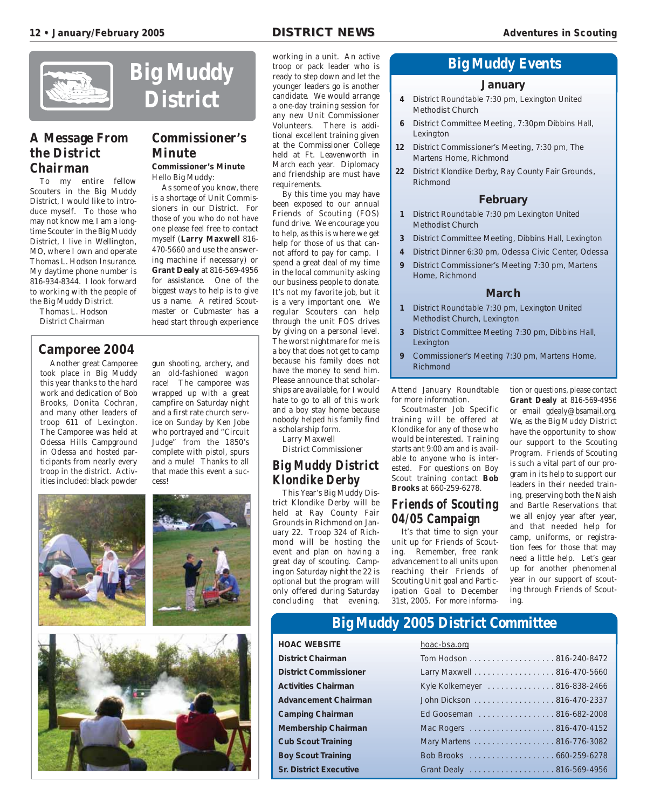

#### **A Message From the District Chairman**

To my entire fellow Scouters in the Big Muddy District, I would like to introduce myself. To those who may not know me, I am a longtime Scouter in the Big Muddy District, I live in Wellington, MO, where I own and operate Thomas L. Hodson Insurance. My daytime phone number is 816-934-8344. I look forward to working with the people of the Big Muddy District.

Thomas L. Hodson District Chairman

#### **Camporee 2004**

Another great Camporee took place in Big Muddy this year thanks to the hard work and dedication of Bob Brooks, Donita Cochran, and many other leaders of troop 611 of Lexington. The Camporee was held at Odessa Hills Campground in Odessa and hosted participants from nearly every troop in the district. Activities included: black powder

gun shooting, archery, and an old-fashioned wagon race! The camporee was wrapped up with a great campfire on Saturday night and a first rate church service on Sunday by Ken Jobe who portrayed and "Circuit Judge" from the 1850's complete with pistol, spurs and a mule! Thanks to all that made this event a success!



#### **Commissioner's Minute**

**District**

**Commissioner's Minute** Hello Big Muddy:

As some of you know, there is a shortage of Unit Commissioners in our District. For those of you who do not have one please feel free to contact myself (**Larry Maxwell** 816- 470-5660 and use the answering machine if necessary) or **Grant Dealy** at 816-569-4956 for assistance. One of the biggest ways to help is to give us a name. A retired Scoutmaster or Cubmaster has a head start through experience working in a unit. An active troop or pack leader who is ready to step down and let the younger leaders go is another candidate. We would arrange a one-day training session for any new Unit Commissioner Volunteers. There is additional excellent training given at the Commissioner College held at Ft. Leavenworth in March each year. Diplomacy and friendship are must have requirements.

By this time you may have been exposed to our annual Friends of Scouting (FOS) fund drive. We encourage you to help, as this is where we get help for those of us that cannot afford to pay for camp. I spend a great deal of my time in the local community asking our business people to donate. It's not my favorite job, but it is a very important one. We regular Scouters can help through the unit FOS drives by giving on a personal level. The worst nightmare for me is a boy that does not get to camp because his family does not have the money to send him. Please announce that scholarships are available, for I would hate to go to all of this work and a boy stay home because nobody helped his family find a scholarship form. Larry Maxwell

District Commissioner

#### **Big Muddy District Klondike Derby**

This Year's Big Muddy District Klondike Derby will be held at Ray County Fair Grounds in Richmond on January 22. Troop 324 of Richmond will be hosting the event and plan on having a great day of scouting. Camping on Saturday night the 22 is optional but the program will only offered during Saturday concluding that evening.

#### **Big Muddy Events**

#### **January**

- **4** District Roundtable 7:30 pm, Lexington United Methodist Church
- **6** District Committee Meeting, 7:30pm Dibbins Hall, Lexington
- **12** District Commissioner's Meeting, 7:30 pm, The Martens Home, Richmond
- **22** District Klondike Derby, Ray County Fair Grounds, Richmond

#### **February**

- **1** District Roundtable 7:30 pm Lexington United Methodist Church
- **3** District Committee Meeting, Dibbins Hall, Lexington
- **4** District Dinner 6:30 pm, Odessa Civic Center, Odessa
- **9** District Commissioner's Meeting 7:30 pm, Martens Home, Richmond

#### **March**

- **1** District Roundtable 7:30 pm, Lexington United Methodist Church, Lexington
- **3** District Committee Meeting 7:30 pm, Dibbins Hall, **Lexington**
- **9** Commissioner's Meeting 7:30 pm, Martens Home, Richmond

Attend January Roundtable for more information.

Scoutmaster Job Specific training will be offered at Klondike for any of those who would be interested. Training starts ant 9:00 am and is available to anyone who is interested. For questions on Boy Scout training contact **Bob Brooks** at 660-259-6278.

#### **Friends of Scouting 04/05 Campaign**

It's that time to sign your unit up for Friends of Scouting. Remember, free rank advancement to all units upon reaching their Friends of Scouting Unit goal and Participation Goal to December 31st, 2005. For more information or questions, please contact **Grant Dealy** at 816-569-4956 or email gdealy@bsamail.org. We, as the Big Muddy District have the opportunity to show our support to the Scouting Program. Friends of Scouting is such a vital part of our program in its help to support our leaders in their needed training, preserving both the Naish and Bartle Reservations that we all enjoy year after year, and that needed help for camp, uniforms, or registration fees for those that may need a little help. Let's gear up for another phenomenal year in our support of scouting through Friends of Scouting.

#### **Big Muddy 2005 District Committee**

**HOAC WEBSITE** hoac-bsa.org **District Chairman District Commissioner Activities Chairman Advancement Chairman Camping Chairman Membership Chairman Cub Scout Training Boy Scout Training Sr. District Executive** 

| Tiodc-DSd.OLY                |
|------------------------------|
| Tom Hodson 816-240-8472      |
| Larry Maxwell 816-470-5660   |
| Kyle Kolkemeyer 816-838-2466 |
| John Dickson 816-470-2337    |
| Ed Gooseman 816-682-2008     |
| Mac Rogers 816-470-4152      |
| Mary Martens 816-776-3082    |
|                              |
| Grant Dealy 816-569-4956     |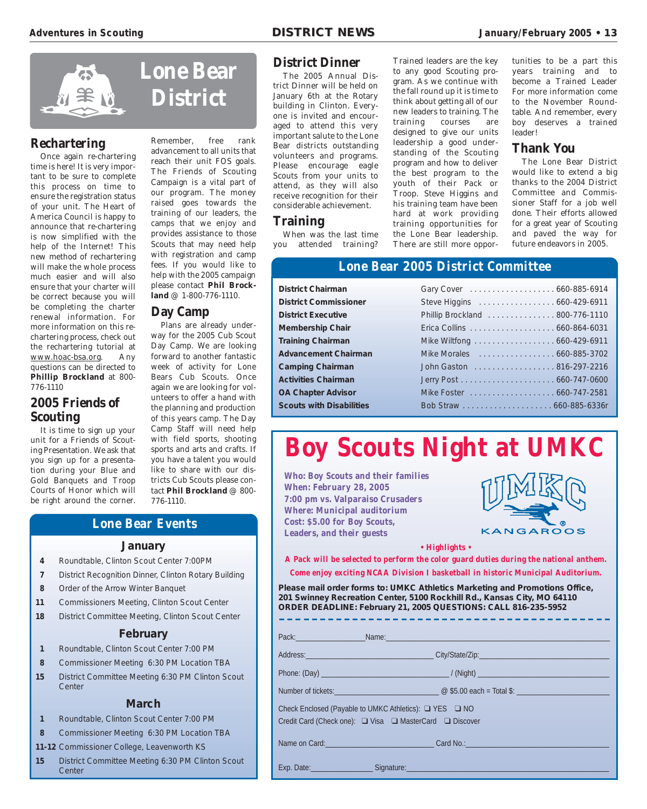

#### **Rechartering**

Once again re-chartering time is here! It is very important to be sure to complete this process on time to ensure the registration status of your unit. The Heart of America Council is happy to announce that re-chartering is now simplified with the help of the Internet! This new method of rechartering will make the whole process much easier and will also ensure that your charter will be correct because you will be completing the charter renewal information. For more information on this rechartering process, check out the rechartering tutorial at www.hoac-bsa.org. Any questions can be directed to **Phillip Brockland** at 800- 776-1110

#### **2005 Friends of Scouting**

It is time to sign up your unit for a Friends of Scouting Presentation. We ask that you sign up for a presentation during your Blue and Gold Banquets and Troop Courts of Honor which will be right around the corner.

Remember, free rank advancement to all units that reach their unit FOS goals. The Friends of Scouting Campaign is a vital part of our program. The money raised goes towards the training of our leaders, the camps that we enjoy and provides assistance to those Scouts that may need help with registration and camp fees. If you would like to help with the 2005 campaign please contact **Phil Brockland** @ 1-800-776-1110.

#### **Day Camp**

Plans are already underway for the 2005 Cub Scout Day Camp. We are looking forward to another fantastic week of activity for Lone Bears Cub Scouts. Once again we are looking for volunteers to offer a hand with the planning and production of this years camp. The Day Camp Staff will need help with field sports, shooting sports and arts and crafts. If you have a talent you would like to share with our districts Cub Scouts please contact **Phil Brockland** @ 800- 776-1110.

#### **Lone Bear Events**

#### **January**

- **4** Roundtable, Clinton Scout Center 7:00PM
- **7** District Recognition Dinner, Clinton Rotary Building
- **8** Order of the Arrow Winter Banquet
- **11** Commissioners Meeting, Clinton Scout Center
- **18** District Committee Meeting, Clinton Scout Center

#### **February**

- **1** Roundtable, Clinton Scout Center 7:00 PM
- **8** Commissioner Meeting 6:30 PM Location TBA
- **15** District Committee Meeting 6:30 PM Clinton Scout **Center**

#### **March**

- **1** Roundtable, Clinton Scout Center 7:00 PM
- **8** Commissioner Meeting 6:30 PM Location TBA
- **11-12** Commissioner College, Leavenworth KS
- **15** District Committee Meeting 6:30 PM Clinton Scout **Center**

#### **District Dinner**

The 2005 Annual District Dinner will be held on January 6th at the Rotary building in Clinton. Everyone is invited and encouraged to attend this very important salute to the Lone Bear districts outstanding volunteers and programs. Please encourage eagle Scouts from your units to attend, as they will also receive recognition for their considerable achievement.

#### **Training**

When was the last time you attended training? Trained leaders are the key to any good Scouting program. As we continue with the fall round up it is time to think about getting all of our new leaders to training. The training courses are designed to give our units leadership a good understanding of the Scouting program and how to deliver the best program to the youth of their Pack or Troop. Steve Higgins and his training team have been hard at work providing training opportunities for the Lone Bear leadership. There are still more opportunities to be a part this years training and to become a Trained Leader For more information come to the November Roundtable. And remember, every boy deserves a trained leader!

#### **Thank You**

The Lone Bear District would like to extend a big thanks to the 2004 District Committee and Commissioner Staff for a job well done. Their efforts allowed for a great year of Scouting and paved the way for future endeavors in 2005.

#### **Lone Bear 2005 District Committee**

**District Chairman** Gary Cover . . . . . . . . . . . . . . . . . . . 660-885-6914 **District Commissioner** Steve Higgins . . . . . . . . . . . . . . . . . 660-429-6911 **District Executive** Phillip Brockland . . . . . . . . . . . . . . 800-776-1110 **Membership Chair** Erica Collins . . . . . . . . . . . . . . . . . . . 660-864-6031 **Training Chairman** Mike Wiltfong . . . . . . . . . . . . . . . . . . 660-429-6911 **Advancement Chairman** Mike Morales . . . . . . . . . . . . . . . . . 660-885-3702 **Camping Chairman** John Gaston . . . . . . . . . . . . . . . . . . 816-297-2216 **Activities Chairman** Jerry Post . . . . . . . . . . . . . . . . . . . . . 660-747-0600 **OA Chapter Advisor** Mike Foster . . . . . . . . . . . . . . . . . . . 660-747-2581 **Scouts with Disabilities** Bob Straw . . . . . . . . . . . . . . . . . . . . 660-885-6336r

# **Boy Scouts Night at UMKC**

**Who: Boy Scouts and their families When: February 28, 2005 7:00 pm vs. Valparaiso Crusaders Where: Municipal auditorium Cost: \$5.00 for Boy Scouts, Leaders, and their guests**



**• Highlights •**

**A Pack will be selected to perform the color guard duties during the national anthem. Come enjoy exciting NCAA Division I basketball in historic Municipal Auditorium.**

**Please mail order forms to: UMKC Athletics Marketing and Promotions Office, 201 Swinney Recreation Center, 5100 Rockhill Rd., Kansas City, MO 64110 ORDER DEADLINE: February 21, 2005 QUESTIONS: CALL 816-235-5952**

|                                                        | Pack: Name: Name: Name: Name: Name: Name: Name: Name: Name: Name: Name: Name: Name: Name: Name: Name: Name: Na |  |  |
|--------------------------------------------------------|----------------------------------------------------------------------------------------------------------------|--|--|
|                                                        |                                                                                                                |  |  |
|                                                        |                                                                                                                |  |  |
|                                                        |                                                                                                                |  |  |
| Check Enclosed (Payable to UMKC Athletics): Q YES Q NO |                                                                                                                |  |  |
|                                                        | Credit Card (Check one): □ Visa □ MasterCard □ Discover                                                        |  |  |
|                                                        |                                                                                                                |  |  |

Exp. Date:\_\_\_\_\_\_\_\_\_\_\_\_\_\_\_\_ Signature:\_\_\_\_\_\_\_\_\_\_\_\_\_\_\_\_\_\_\_\_\_\_\_\_\_\_\_\_\_\_\_\_\_\_\_\_\_\_\_\_\_\_\_\_\_\_\_\_\_\_\_\_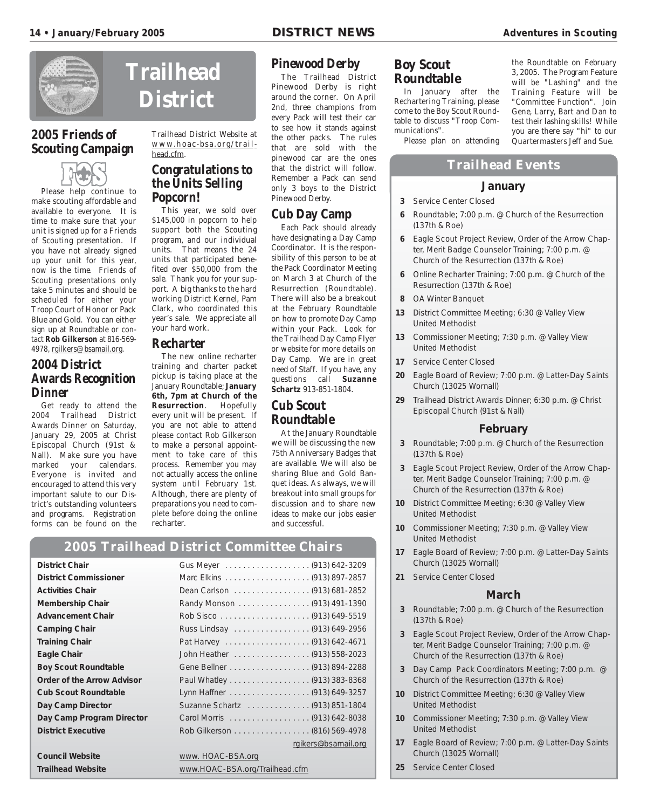

#### **2005 Friends of Scouting Campaign**



Please help continue to make scouting affordable and available to everyone. It is time to make sure that your unit is signed up for a Friends of Scouting presentation. If you have not already signed up your unit for this year, now is the time. Friends of Scouting presentations only take 5 minutes and should be scheduled for either your Troop Court of Honor or Pack Blue and Gold. You can either sign up at Roundtable or contact **Rob Gilkerson** at 816-569- 4978, rgilkers@bsamail.org.

#### **2004 District Awards Recognition Dinner**

Get ready to attend the 2004 Trailhead District Awards Dinner on Saturday, January 29, 2005 at Christ Episcopal Church (91st & Nall). Make sure you have marked your calendars. Everyone is invited and encouraged to attend this very important salute to our District's outstanding volunteers and programs. Registration forms can be found on the

## **Trailhead District**

Trailhead District Website at www.hoac-bsa.org/trailhead.cfm.

#### **Congratulations to the Units Selling Popcorn!**

This year, we sold over \$145,000 in popcorn to help support both the Scouting program, and our individual units. That means the 24 units that participated benefited over \$50,000 from the sale. Thank you for your support. A big thanks to the hard working District Kernel, Pam Clark, who coordinated this year's sale. We appreciate all your hard work.

#### **Recharter**

The new online recharter training and charter packet pickup is taking place at the January Roundtable; **January 6th, 7pm at Church of the Resurrection**. Hopefully every unit will be present. If you are not able to attend please contact Rob Gilkerson to make a personal appointment to take care of this process. Remember you may not actually access the online system until February 1st. Although, there are plenty of preparations you need to complete before doing the online recharter.

#### **Pinewood Derby**

The Trailhead District Pinewood Derby is right around the corner. On April 2nd, three champions from every Pack will test their car to see how it stands against the other packs. The rules that are sold with the pinewood car are the ones that the district will follow. Remember a Pack can send only 3 boys to the District Pinewood Derby.

#### **Cub Day Camp**

Each Pack should already have designating a Day Camp Coordinator. It is the responsibility of this person to be at the Pack Coordinator Meeting on March 3 at Church of the Resurrection (Roundtable). There will also be a breakout at the February Roundtable on how to promote Day Camp within your Pack. Look for the Trailhead Day Camp Flyer or website for more details on Day Camp. We are in great need of Staff. If you have, any questions call **Suzanne Schartz** 913-851-1804.

#### **Cub Scout Roundtable**

At the January Roundtable we will be discussing the new 75th Anniversary Badges that are available. We will also be sharing Blue and Gold Banquet ideas. As always, we will breakout into small groups for discussion and to share new ideas to make our jobs easier and successful.

#### **Boy Scout Roundtable**

In January after the Rechartering Training, please come to the Boy Scout Roundtable to discuss "Troop Communications".

the Roundtable on February 3, 2005. The Program Feature will be "Lashing" and the Training Feature will be "Committee Function". Join Gene, Larry, Bart and Dan to test their lashing skills! While you are there say "hi" to our Quartermasters Jeff and Sue.

Please plan on attending

#### **Trailhead Events**

#### **January**

- **3** Service Center Closed
- **6** Roundtable; 7:00 p.m. @ Church of the Resurrection (137th & Roe)
- **6** Eagle Scout Project Review, Order of the Arrow Chapter, Merit Badge Counselor Training; 7:00 p.m. @ Church of the Resurrection (137th & Roe)
- **6** Online Recharter Training; 7:00 p.m. @ Church of the Resurrection (137th & Roe)
- **8** OA Winter Banquet
- **13** District Committee Meeting; 6:30 @ Valley View United Methodist
- **13** Commissioner Meeting; 7:30 p.m. @ Valley View United Methodist
- **17** Service Center Closed
- **20** Eagle Board of Review; 7:00 p.m. @ Latter-Day Saints Church (13025 Wornall)
- **29** Trailhead District Awards Dinner; 6:30 p.m. @ Christ Episcopal Church (91st & Nall)

#### **February**

- **3** Roundtable; 7:00 p.m. @ Church of the Resurrection (137th & Roe)
- **3** Eagle Scout Project Review, Order of the Arrow Chapter, Merit Badge Counselor Training; 7:00 p.m. @ Church of the Resurrection (137th & Roe)
- **10** District Committee Meeting; 6:30 @ Valley View United Methodist
- **10** Commissioner Meeting; 7:30 p.m. @ Valley View United Methodist
- **17** Eagle Board of Review; 7:00 p.m. @ Latter-Day Saints Church (13025 Wornall)
- **21** Service Center Closed

#### **March**

- **3** Roundtable; 7:00 p.m. @ Church of the Resurrection (137th & Roe)
- **3** Eagle Scout Project Review, Order of the Arrow Chapter, Merit Badge Counselor Training; 7:00 p.m. @ Church of the Resurrection (137th & Roe)
- **3** Day Camp Pack Coordinators Meeting; 7:00 p.m. @ Church of the Resurrection (137th & Roe)
- **10** District Committee Meeting; 6:30 @ Valley View United Methodist
- **10** Commissioner Meeting; 7:30 p.m. @ Valley View United Methodist
- **17** Eagle Board of Review; 7:00 p.m. @ Latter-Day Saints Church (13025 Wornall)
- **25** Service Center Closed

#### **2005 Trailhead District Committee Chairs**

| <b>District Chair</b>             |                                |
|-----------------------------------|--------------------------------|
| <b>District Commissioner</b>      |                                |
| <b>Activities Chair</b>           | Dean Carlson (913) 681-2852    |
| <b>Membership Chair</b>           | Randy Monson (913) 491-1390    |
| <b>Advancement Chair</b>          |                                |
| <b>Camping Chair</b>              | Russ Lindsay (913) 649-2956    |
| <b>Training Chair</b>             |                                |
| <b>Eagle Chair</b>                | John Heather (913) 558-2023    |
| <b>Boy Scout Roundtable</b>       |                                |
| <b>Order of the Arrow Advisor</b> |                                |
| <b>Cub Scout Roundtable</b>       |                                |
| Day Camp Director                 | Suzanne Schartz (913) 851-1804 |
| Day Camp Program Director         |                                |
| <b>District Executive</b>         | Rob Gilkerson (816) 569-4978   |
|                                   | rgikers@bsamail.org            |
| <b>Council Website</b>            | www. HOAC-BSA.org              |
| <b>Trailhead Website</b>          | www.HOAC-BSA.org/Trailhead.cfm |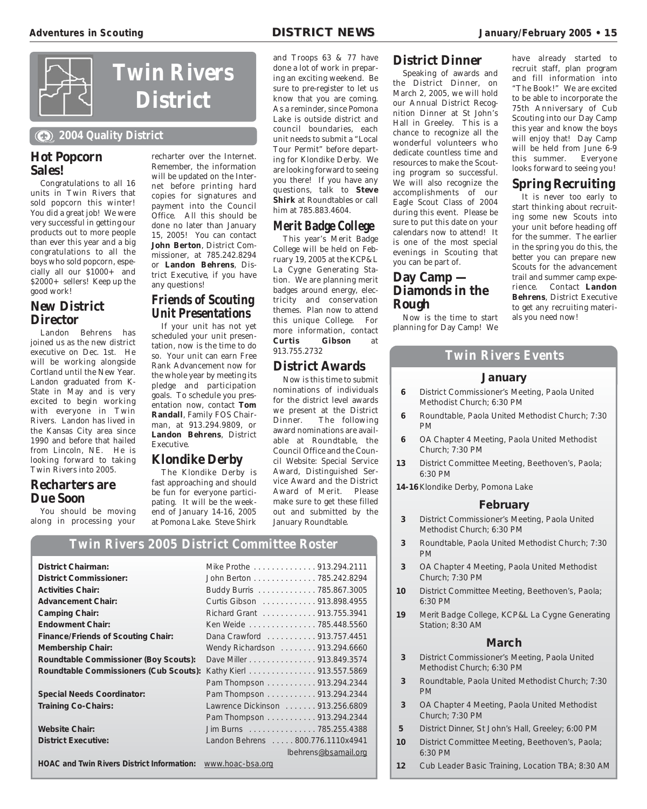

#### **2004 Quality District**

#### **Hot Popcorn Sales!**

Congratulations to all 16 units in Twin Rivers that sold popcorn this winter! You did a great job! We were very successful in getting our products out to more people than ever this year and a big congratulations to all the boys who sold popcorn, especially all our \$1000+ and \$2000+ sellers! Keep up the good work!

#### **New District Director**

Landon Behrens has joined us as the new district executive on Dec. 1st. He will be working alongside Cortland until the New Year. Landon graduated from K-State in May and is very excited to begin working with everyone in Twin Rivers. Landon has lived in the Kansas City area since 1990 and before that hailed from Lincoln, NE. He is looking forward to taking Twin Rivers into 2005.

#### **Recharters are Due Soon**

You should be moving along in processing your recharter over the Internet. Remember, the information will be updated on the Internet before printing hard copies for signatures and payment into the Council Office. All this should be done no later than January 15, 2005! You can contact **John Berton**, District Commissioner, at 785.242.8294 or **Landon Behrens**, District Executive, if you have any questions!

#### **Friends of Scouting Unit Presentations**

If your unit has not yet scheduled your unit presentation, now is the time to do so. Your unit can earn Free Rank Advancement now for the whole year by meeting its pledge and participation goals. To schedule you presentation now, contact **Tom Randall**, Family FOS Chairman, at 913.294.9809, or **Landon Behrens**, District Executive.

#### **Klondike Derby**

The Klondike Derby is fast approaching and should be fun for everyone participating. It will be the weekend of January 14-16, 2005 at Pomona Lake. Steve Shirk

and Troops 63 & 77 have done a lot of work in preparing an exciting weekend. Be sure to pre-register to let us know that you are coming. As a reminder, since Pomona Lake is outside district and council boundaries, each unit needs to submit a "Local Tour Permit" before departing for Klondike Derby. We are looking forward to seeing you there! If you have any questions, talk to **Steve Shirk** at Roundtables or call him at 785.883.4604.

#### **Merit Badge College**

This year's Merit Badge College will be held on February 19, 2005 at the KCP&L La Cygne Generating Station. We are planning merit badges around energy, electricity and conservation themes. Plan now to attend this unique College. For more information, contact<br>**Curtis Gibson** at **Gibson** at 913.755.2732

#### **District Awards**

Now is this time to submit nominations of individuals for the district level awards we present at the District Dinner. The following award nominations are available at Roundtable, the Council Office and the Council Website: Special Service Award, Distinguished Service Award and the District Award of Merit. Please make sure to get these filled out and submitted by the January Roundtable.

#### **Twin Rivers 2005 District Committee Roster**

| <b>District Chairman:</b>                         | Mike Prothe 913.294.2111          |
|---------------------------------------------------|-----------------------------------|
| <b>District Commissioner:</b>                     | John Berton 785.242.8294          |
| <b>Activities Chair:</b>                          | Buddy Burris 785.867.3005         |
| <b>Advancement Chair:</b>                         | Curtis Gibson 913.898.4955        |
| <b>Camping Chair:</b>                             | Richard Grant 913.755.3941        |
| <b>Endowment Chair:</b>                           | Ken Weide 785.448.5560            |
| <b>Finance/Friends of Scouting Chair:</b>         | Dana Crawford 913.757.4451        |
| <b>Membership Chair:</b>                          | Wendy Richardson 913.294.6660     |
| Roundtable Commissioner (Boy Scouts):             | Dave Miller 913.849.3574          |
| Roundtable Commissioners (Cub Scouts):            | Kathy Kierl 913.557.5869          |
|                                                   | Pam Thompson 913.294.2344         |
| <b>Special Needs Coordinator:</b>                 | Pam Thompson 913.294.2344         |
| <b>Training Co-Chairs:</b>                        | Lawrence Dickinson 913.256.6809   |
|                                                   | Pam Thompson 913.294.2344         |
| <b>Website Chair:</b>                             | Jim Burns 785.255.4388            |
| <b>District Executive:</b>                        | Landon Behrens  800.776.1110x4941 |
|                                                   | lbehrens@bsamail.org              |
| <b>HOAC and Twin Rivers District Information:</b> | www.hoac-bsa.org                  |

#### **District Dinner**

Speaking of awards and the District Dinner, on March 2, 2005, we will hold our Annual District Recognition Dinner at St John's Hall in Greeley. This is a chance to recognize all the wonderful volunteers who dedicate countless time and resources to make the Scouting program so successful. We will also recognize the accomplishments of our Eagle Scout Class of 2004 during this event. Please be sure to put this date on your calendars now to attend! It is one of the most special evenings in Scouting that you can be part of.

#### **Day Camp — Diamonds in the Rough**

Now is the time to start planning for Day Camp! We

have already started to recruit staff, plan program and fill information into "The Book!" We are excited to be able to incorporate the 75th Anniversary of Cub Scouting into our Day Camp this year and know the boys will enjoy that! Day Camp will be held from June 6-9<br>this summer. Everyone this summer. looks forward to seeing you!

#### **Spring Recruiting**

It is never too early to start thinking about recruiting some new Scouts into your unit before heading off for the summer. The earlier in the spring you do this, the better you can prepare new Scouts for the advancement trail and summer camp experience. Contact **Landon Behrens**, District Executive to get any recruiting materials you need now!

#### **Twin Rivers Events**

#### **January**

- **6** District Commissioner's Meeting, Paola United Methodist Church; 6:30 PM
- **6** Roundtable, Paola United Methodist Church; 7:30 PM
- **6** OA Chapter 4 Meeting, Paola United Methodist Church; 7:30 PM
- **13** District Committee Meeting, Beethoven's, Paola; 6:30 PM
- **14-16**Klondike Derby, Pomona Lake

#### **February**

- **3** District Commissioner's Meeting, Paola United Methodist Church; 6:30 PM
- **3** Roundtable, Paola United Methodist Church; 7:30 PM
- **3** OA Chapter 4 Meeting, Paola United Methodist Church; 7:30 PM
- **10** District Committee Meeting, Beethoven's, Paola; 6:30 PM
- **19** Merit Badge College, KCP&L La Cygne Generating Station; 8:30 AM

#### **March**

- **3** District Commissioner's Meeting, Paola United Methodist Church; 6:30 PM
- **3** Roundtable, Paola United Methodist Church; 7:30 PM
- **3** OA Chapter 4 Meeting, Paola United Methodist Church; 7:30 PM
- **5** District Dinner, St John's Hall, Greeley; 6:00 PM
- **10** District Committee Meeting, Beethoven's, Paola; 6:30 PM
- **12** Cub Leader Basic Training, Location TBA; 8:30 AM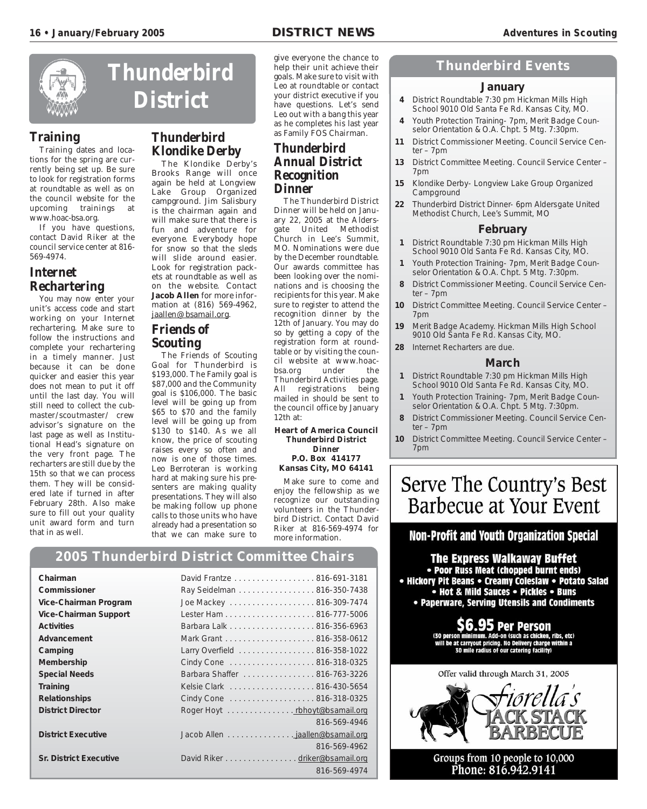

#### **Training**

Training dates and locations for the spring are currently being set up. Be sure to look for registration forms at roundtable as well as on the council website for the upcoming trainings at www.hoac-bsa.org.

If you have questions, contact David Riker at the council service center at 816- 569-4974.

#### **Internet Rechartering**

You may now enter your unit's access code and start working on your Internet rechartering. Make sure to follow the instructions and complete your rechartering in a timely manner. Just because it can be done quicker and easier this year does not mean to put it off until the last day. You will still need to collect the cubmaster/scoutmaster/ crew advisor's signature on the last page as well as Institutional Head's signature on the very front page. The recharters are still due by the 15th so that we can process them. They will be considered late if turned in after February 28th. Also make sure to fill out your quality unit award form and turn that in as well.



#### **Thunderbird Klondike Derby**

The Klondike Derby's Brooks Range will once again be held at Longview Lake Group Organized campground. Jim Salisbury is the chairman again and will make sure that there is fun and adventure for everyone. Everybody hope for snow so that the sleds will slide around easier. Look for registration packets at roundtable as well as on the website. Contact **Jacob Allen** for more information at (816) 569-4962, jaallen@bsamail.org.

#### **Friends of Scouting**

The Friends of Scouting Goal for Thunderbird is \$193,000. The Family goal is \$87,000 and the Community goal is \$106,000. The basic level will be going up from \$65 to \$70 and the family level will be going up from \$130 to \$140. As we all know, the price of scouting raises every so often and now is one of those times. Leo Berroteran is working hard at making sure his presenters are making quality presentations. They will also be making follow up phone calls to those units who have already had a presentation so that we can make sure to

give everyone the chance to help their unit achieve their goals. Make sure to visit with Leo at roundtable or contact your district executive if you have questions. Let's send Leo out with a bang this year as he completes his last year as Family FOS Chairman.

#### **Thunderbird Annual District Recognition Dinner**

The Thunderbird District Dinner will be held on January 22, 2005 at the Aldersgate United Methodist Church in Lee's Summit, MO. Nominations were due by the December roundtable. Our awards committee has been looking over the nominations and is choosing the recipients for this year. Make sure to register to attend the recognition dinner by the 12th of January. You may do so by getting a copy of the registration form at roundtable or by visiting the council website at www.hoacbsa.org under the Thunderbird Activities page. All registrations being mailed in should be sent to the council office by January 12th at:

#### **Heart of America Council Thunderbird District Dinner P.O. Box 414177 Kansas City, MO 64141**

Make sure to come and enjoy the fellowship as we recognize our outstanding volunteers in the Thunderbird District. Contact David Riker at 816-569-4974 for more information.

#### **Thunderbird Events**

#### **January**

- **4** District Roundtable 7:30 pm Hickman Mills High School 9010 Old Santa Fe Rd. Kansas City, MO.
- **4** Youth Protection Training- 7pm, Merit Badge Counselor Orientation & O.A. Chpt. 5 Mtg. 7:30pm.
- **11** District Commissioner Meeting. Council Service Center – 7pm
- **13** District Committee Meeting. Council Service Center 7pm
- **15** Klondike Derby- Longview Lake Group Organized **Campground**
- **22** Thunderbird District Dinner- 6pm Aldersgate United Methodist Church, Lee's Summit, MO

#### **February**

- **1** District Roundtable 7:30 pm Hickman Mills High School 9010 Old Santa Fe Rd. Kansas City, MO.
- **1** Youth Protection Training- 7pm, Merit Badge Counselor Orientation & O.A. Chpt. 5 Mtg. 7:30pm.
- **8** District Commissioner Meeting. Council Service Center – 7pm
- **10** District Committee Meeting. Council Service Center 7pm
- **19** Merit Badge Academy. Hickman Mills High School 9010 Old Santa Fe Rd. Kansas City, MO.
- **28** Internet Recharters are due.

#### **March**

- **1** District Roundtable 7:30 pm Hickman Mills High School 9010 Old Santa Fe Rd. Kansas City, MO.
- **1** Youth Protection Training- 7pm, Merit Badge Counselor Orientation & O.A. Chpt. 5 Mtg. 7:30pm.
- **8** District Commissioner Meeting. Council Service Center – 7pm
- **10** District Committee Meeting. Council Service Center 7pm

### Serve The Country's Best Barbecue at Your Event

#### Non-Profit and Youth Organization Special

The Express Walkaway Buffet • Poor Russ Meat (chopped burnt ends) • Hickory Pit Beans • Creamy Coleslaw • Potato Salad • Hot & Mild Sauces • Pickles • Buns • Paperware, Serving Utensils and Condiments

> **Per Person** dd-on (such as chicken, ribs, etc) It pricing. No Delivery charge within a le radius of our catering facility)



Groups from 10 people to 10,000 Phone: 816.942.9141

#### **2005 Thunderbird District Committee Chairs**

| Chairman                      | David Frantze 816-691-3181      |              |
|-------------------------------|---------------------------------|--------------|
| Commissioner                  | Ray Seidelman 816-350-7438      |              |
| Vice-Chairman Program         | Joe Mackey 816-309-7474         |              |
| <b>Vice-Chairman Support</b>  |                                 |              |
| <b>Activities</b>             |                                 |              |
| Advancement                   |                                 |              |
| Camping                       | Larry Overfield 816-358-1022    |              |
| Membership                    | Cindy Cone 816-318-0325         |              |
| <b>Special Needs</b>          | Barbara Shaffer 816-763-3226    |              |
| Training                      | Kelsie Clark 816-430-5654       |              |
| <b>Relationships</b>          | Cindy Cone 816-318-0325         |              |
| <b>District Director</b>      | Roger Hoyt rbhoyt@bsamail.org   |              |
|                               |                                 | 816-569-4946 |
| <b>District Executive</b>     | Jacob Allen jaallen@bsamail.org |              |
|                               |                                 | 816-569-4962 |
| <b>Sr. District Executive</b> | David Riker driker@bsamail.org  |              |
|                               |                                 | 816-569-4974 |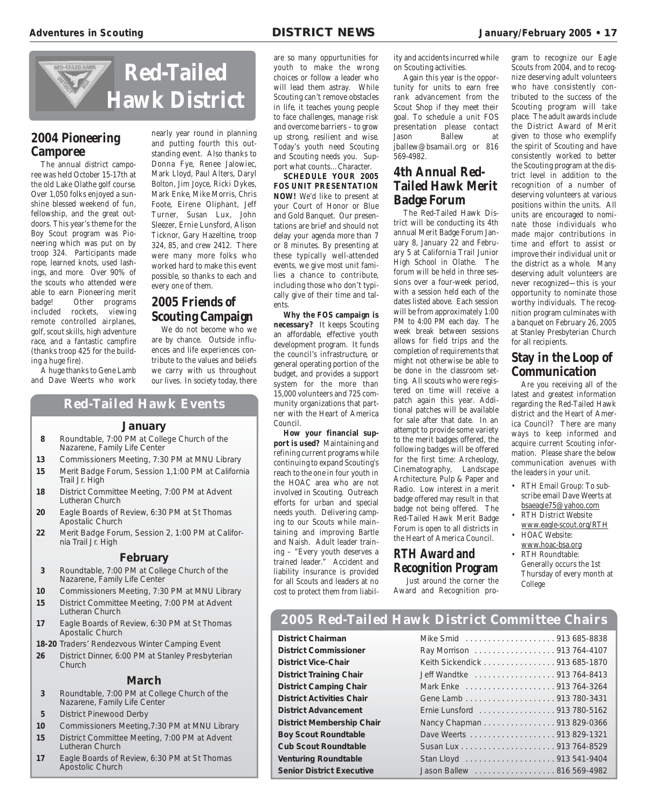

#### **2004 Pioneering Camporee**

The annual district camporee was held October 15-17th at the old Lake Olathe golf course. Over 1,050 folks enjoyed a sunshine blessed weekend of fun, fellowship, and the great outdoors. This year's theme for the Boy Scout program was Pioneering which was put on by troop 324. Participants made rope, learned knots, used lashings, and more. Over 90% of the scouts who attended were able to earn Pioneering merit badge! Other programs included rockets, viewing remote controlled airplanes, golf, scout skills, high adventure race, and a fantastic campfire (thanks troop 425 for the building a huge fire).

A huge thanks to Gene Lamb and Dave Weerts who work nearly year round in planning and putting fourth this outstanding event. Also thanks to Donna Fye, Renee Jalowiec, Mark Lloyd, Paul Alters, Daryl Bolton, Jim Joyce, Ricki Dykes, Mark Enke, Mike Morris, Chris Foote, Eirene Oliphant, Jeff Turner, Susan Lux, John Sleezer, Ernie Lunsford, Alison Ticknor, Gary Hazeltine, troop 324, 85, and crew 2412. There were many more folks who worked hard to make this event possible, so thanks to each and every one of them.

#### **2005 Friends of Scouting Campaign**

We do not become who we are by chance. Outside influences and life experiences contribute to the values and beliefs we carry with us throughout our lives. In society today, there

#### **Red-Tailed Hawk Events**

#### **January**

- **8** Roundtable, 7:00 PM at College Church of the Nazarene, Family Life Center
- **13** Commissioners Meeting, 7:30 PM at MNU Library **15** Merit Badge Forum, Session 1,1:00 PM at California Trail Jr. High
- **18** District Committee Meeting, 7:00 PM at Advent Lutheran Church
- **20** Eagle Boards of Review, 6:30 PM at St Thomas Apostalic Church
- **22** Merit Badge Forum, Session 2, 1:00 PM at California Trail Jr. High

#### **February**

- **3** Roundtable, 7:00 PM at College Church of the Nazarene, Family Life Center
- **10** Commissioners Meeting, 7:30 PM at MNU Library **15** District Committee Meeting, 7:00 PM at Advent Lutheran Church
- **17** Eagle Boards of Review, 6:30 PM at St Thomas Apostalic Church

**18-20** Traders' Rendezvous Winter Camping Event

**26** District Dinner, 6:00 PM at Stanley Presbyterian Church

#### **March**

- **3** Roundtable, 7:00 PM at College Church of the Nazarene, Family Life Center
- **5** District Pinewood Derby
- **10** Commissioners Meeting,7:30 PM at MNU Library **15** District Committee Meeting, 7:00 PM at Advent
- Lutheran Church
- **17** Eagle Boards of Review, 6:30 PM at St Thomas Apostolic Church

are so many oppurtunities for youth to make the wrong choices or follow a leader who will lead them astray. While Scouting can't remove obstacles in life, it teaches young people to face challenges, manage risk and overcome barriers – to grow up strong, resilient and wise. Today's youth need Scouting and Scouting needs you. Support what counts…Character.

**SCHEDULE YOUR 2005 FOS UNIT PRESENTATION NOW!** We'd like to present at your Court of Honor or Blue and Gold Banquet. Our presentations are brief and should not delay your agenda more than 7 or 8 minutes. By presenting at these typically well-attended events, we give most unit families a chance to contribute, including those who don't typically give of their time and talents.

**Why the FOS campaign is necessary?** It keeps Scouting an affordable, effective youth development program. It funds the council's infrastructure, or general operating portion of the budget, and provides a support system for the more than 15,000 volunteers and 725 community organizations that partner with the Heart of America Council.

**How your financial support is used?** Maintaining and refining current programs while continuing to expand Scouting's reach to the one in four youth in the HOAC area who are not involved in Scouting. Outreach efforts for urban and special needs youth. Delivering camping to our Scouts while maintaining and improving Bartle and Naish. Adult leader training – "Every youth deserves a trained leader." Accident and liability insurance is provided for all Scouts and leaders at no cost to protect them from liability and accidents incurred while on Scouting activities.

Again this year is the opportunity for units to earn free rank advancement from the Scout Shop if they meet their goal. To schedule a unit FOS presentation please contact Jason Ballew at jballew@bsamail.org or 816 569-4982.

#### **4th Annual Red-Tailed Hawk Merit Badge Forum** The Red-Tailed Hawk Dis-

trict will be conducting its 4th annual Merit Badge Forum January 8, January 22 and February 5 at California Trail Junior High School in Olathe. The forum will be held in three sessions over a four-week period, with a session held each of the dates listed above. Each session will be from approximately 1:00 PM to 4:00 PM each day. The week break between sessions allows for field trips and the completion of requirements that might not otherwise be able to be done in the classroom setting. All scouts who were registered on time will receive a patch again this year. Additional patches will be available for sale after that date. In an attempt to provide some variety to the merit badges offered, the following badges will be offered for the first time: Archeology, Cinematography, Landscape Architecture, Pulp & Paper and Radio. Low interest in a merit badge offered may result in that badge not being offered. The Red-Tailed Hawk Merit Badge Forum is open to all districts in the Heart of America Council.

#### **RTH Award and Recognition Program**

Just around the corner the Award and Recognition program to recognize our Eagle Scouts from 2004, and to recognize deserving adult volunteers who have consistently contributed to the success of the Scouting program will take place. The adult awards include the District Award of Merit given to those who exemplify the spirit of Scouting and have consistently worked to better the Scouting program at the district level in addition to the recognition of a number of deserving volunteers at various positions within the units. All units are encouraged to nominate those individuals who made major contributions in time and effort to assist or improve their individual unit or the district as a whole. Many deserving adult volunteers are never recognized—this is your opportunity to nominate those worthy individuals. The recognition program culminates with a banquet on February 26, 2005 at Stanley Presbyterian Church for all recipients.

#### **Stay in the Loop of Communication**

Are you receiving all of the latest and greatest information regarding the Red-Tailed Hawk district and the Heart of America Council? There are many ways to keep informed and acquire current Scouting information. Please share the below communication avenues with the leaders in your unit.

- RTH Email Group: To subscribe email Dave Weerts at bsaeagle75@yahoo.com
- RTH District Website www.eagle-scout.org/RTH
- HOAC Website:
- www.hoac-bsa.org • RTH Roundtable:
	- Generally occurs the 1st Thursday of every month at College

#### **2005 Red-Tailed Hawk District Committee Chairs**

#### **District Chairman**

**District Commissioner District Vice-Chair District Training Chair District Camping Chair District Activities Chair District Advancement District Membership Chair Boy Scout Roundtable Cub Scout Roundtable Venturing Roundtable Senior District Executive** 

| Ray Morrison 913 764-4107     |
|-------------------------------|
| Keith Sickendick 913 685-1870 |
| Jeff Wandtke 913 764-8413     |
|                               |
|                               |
| Ernie Lunsford 913 780-5162   |
| Nancy Chapman 913 829-0366    |
|                               |
|                               |
|                               |
| Jason Ballew 816 569-4982     |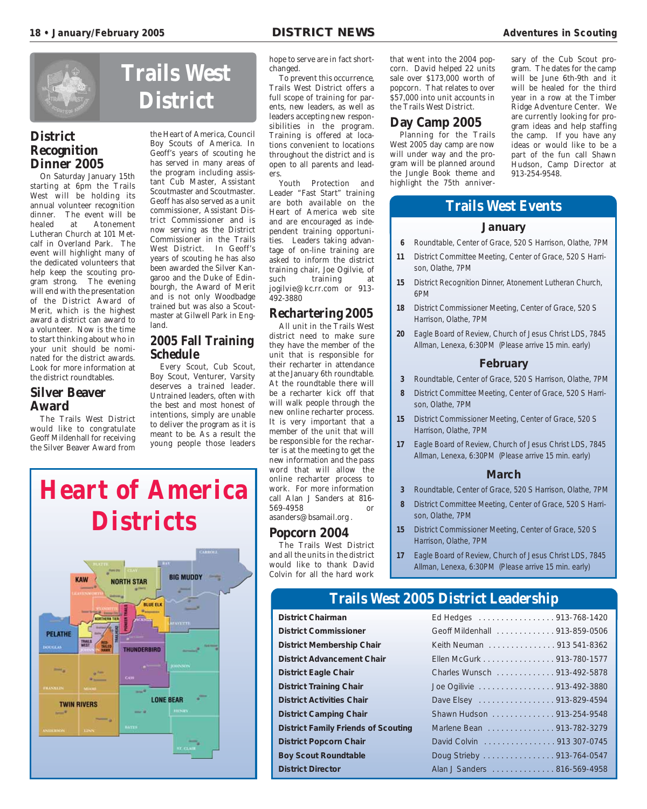

#### **District Recognition Dinner 2005**

On Saturday January 15th starting at 6pm the Trails West will be holding its annual volunteer recognition dinner. The event will be<br>healed at Atonement at Atonement Lutheran Church at 101 Metcalf in Overland Park. The event will highlight many of the dedicated volunteers that help keep the scouting program strong. The evening will end with the presentation of the District Award of Merit, which is the highest award a district can award to a volunteer. Now is the time to start thinking about who in your unit should be nominated for the district awards. Look for more information at the district roundtables.

#### **Silver Beaver Award**

The Trails West District would like to congratulate Geoff Mildenhall for receiving the Silver Beaver Award from

# **Trails West District**

the Heart of America, Council Boy Scouts of America. In Geoff's years of scouting he has served in many areas of the program including assistant Cub Master, Assistant Scoutmaster and Scoutmaster. Geoff has also served as a unit commissioner, Assistant District Commissioner and is now serving as the District Commissioner in the Trails West District. In Geoff's years of scouting he has also been awarded the Silver Kangaroo and the Duke of Edinbourgh, the Award of Merit and is not only Woodbadge trained but was also a Scoutmaster at Gilwell Park in England.

#### **2005 Fall Training Schedule**

Every Scout, Cub Scout, Boy Scout, Venturer, Varsity deserves a trained leader. Untrained leaders, often with the best and most honest of intentions, simply are unable to deliver the program as it is meant to be. As a result the young people those leaders hope to serve are in fact shortchanged.

To prevent this occurrence, Trails West District offers a full scope of training for parents, new leaders, as well as leaders accepting new responsibilities in the program. Training is offered at locations convenient to locations throughout the district and is open to all parents and leaders.

Youth Protection and Leader "Fast Start" training are both available on the Heart of America web site and are encouraged as independent training opportunities. Leaders taking advantage of on-line training are asked to inform the district training chair, Joe Ogilvie, of such training at jogilvie@kc.rr.com or 913- 492-3880

#### **Rechartering 2005**

All unit in the Trails West district need to make sure they have the member of the unit that is responsible for their recharter in attendance at the January 6th roundtable. At the roundtable there will be a recharter kick off that will walk people through the new online recharter process. It is very important that a member of the unit that will be responsible for the recharter is at the meeting to get the new information and the pass word that will allow the online recharter process to work. For more information call Alan J Sanders at 816- 569-4958 or asanders@bsamail.org .

#### **Popcorn 2004**

The Trails West District and all the units in the district would like to thank David Colvin for all the hard work

that went into the 2004 popcorn. David helped 22 units sale over \$173,000 worth of popcorn. That relates to over \$57,000 into unit accounts in the Trails West District.

#### **Day Camp 2005**

Planning for the Trails West 2005 day camp are now will under way and the program will be planned around the Jungle Book theme and highlight the 75th anniversary of the Cub Scout program. The dates for the camp will be June 6th-9th and it will be healed for the third year in a row at the Timber Ridge Adventure Center. We are currently looking for program ideas and help staffing the camp. If you have any ideas or would like to be a part of the fun call Shawn Hudson, Camp Director at 913-254-9548.

#### **Trails West Events**

#### **January**

- **6** Roundtable, Center of Grace, 520 S Harrison, Olathe, 7PM
- **11** District Committee Meeting, Center of Grace, 520 S Harrison, Olathe, 7PM
- **15** District Recognition Dinner, Atonement Lutheran Church, 6PM
- **18** District Commissioner Meeting, Center of Grace, 520 S Harrison, Olathe, 7PM
- **20** Eagle Board of Review, Church of Jesus Christ LDS, 7845 Allman, Lenexa, 6:30PM (Please arrive 15 min. early)

#### **February**

- **3** Roundtable, Center of Grace, 520 S Harrison, Olathe, 7PM
- **8** District Committee Meeting, Center of Grace, 520 S Harrison, Olathe, 7PM
- **15** District Commissioner Meeting, Center of Grace, 520 S Harrison, Olathe, 7PM
- **17** Eagle Board of Review, Church of Jesus Christ LDS, 7845 Allman, Lenexa, 6:30PM (Please arrive 15 min. early)

#### **March**

- **3** Roundtable, Center of Grace, 520 S Harrison, Olathe, 7PM
- **8** District Committee Meeting, Center of Grace, 520 S Harrison, Olathe, 7PM
- **15** District Commissioner Meeting, Center of Grace, 520 S Harrison, Olathe, 7PM
- **17** Eagle Board of Review, Church of Jesus Christ LDS, 7845 Allman, Lenexa, 6:30PM (Please arrive 15 min. early)

### **Trails West 2005 District Leadership**

**District Chairman District Commissioner District Membership Chair District Advancement Chair District Eagle Chair District Training Chair District Activities Chair District Camping Chair**  $\blacksquare$ **District Family Friends of Scouting District Popcorn Chair Boy Scout Roundtable District Director** 

| Ed Hedges 913-768-1420        |
|-------------------------------|
| Geoff Mildenhall 913-859-0506 |
| Keith Neuman 913 541-8362     |
| Ellen McGurk 913-780-1577     |
| Charles Wunsch 913-492-5878   |
| Joe Ogilivie 913-492-3880     |
| Dave Elsey 913-829-4594       |
| Shawn Hudson 913-254-9548     |
| Marlene Bean 913-782-3279     |
| David Colvin 913 307-0745     |
| Doug Strieby 913-764-0547     |
| Alan J Sanders 816-569-4958   |

### **Heart of America DistrictsBIG MUDDY** KAW **NORTH STAR BLUE ELK N** TIER PELATHE **THUNDERBIRD LONE BEAR TWIN RIVERS**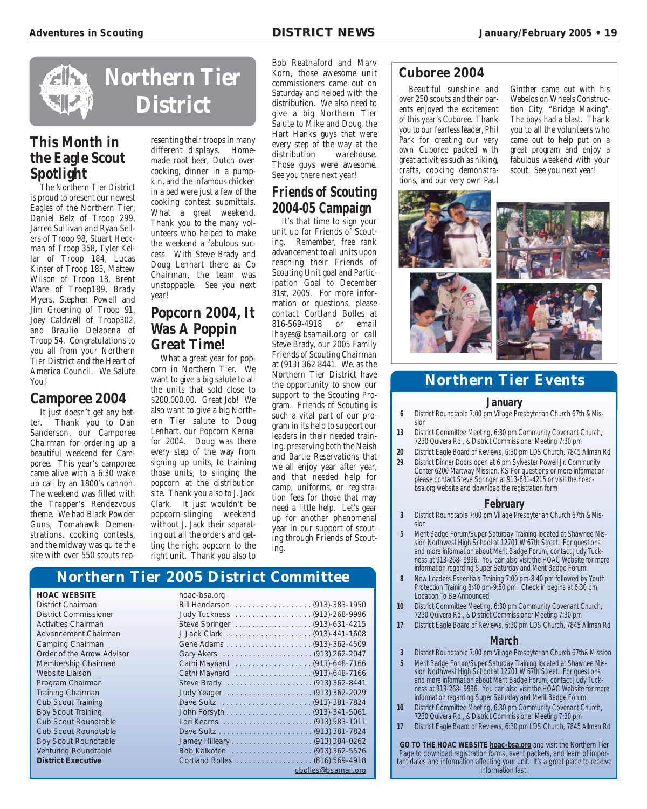

### **This Month in the Eagle Scout Spotlight**

The Northern Tier District is proud to present our newest Eagles of the Northern Tier; Daniel Belz of Troop 299, Jarred Sullivan and Ryan Sellers of Troop 98, Stuart Heckman of Troop 358, Tyler Kellar of Troop 184, Lucas Kinser of Troop 185, Mattew Wilson of Troop 18, Brent Ware of Troop189, Brady Myers, Stephen Powell and Jim Groening of Troop 91, Joey Caldwell of Troop302, and Braulio Delapena of Troop 54. Congratulations to you all from your Northern Tier District and the Heart of America Council. We Salute You!

#### **Camporee 2004**

It just doesn't get any better. Thank you to Dan Sanderson, our Camporee Chairman for ordering up a beautiful weekend for Camporee. This year's camporee came alive with a 6:30 wake up call by an 1800's cannon. The weekend was filled with the Trapper's Rendezvous theme. We had Black Powder Guns, Tomahawk Demonstrations, cooking contests, and the midway was quite the site with over 550 scouts rep-

resenting their troops in many different displays. Homemade root beer, Dutch oven cooking, dinner in a pumpkin, and the infamous chicken in a bed were just a few of the cooking contest submittals. What a great weekend. Thank you to the many volunteers who helped to make the weekend a fabulous success. With Steve Brady and Doug Lenhart there as Co Chairman, the team was unstoppable. See you next year!

### **Popcorn 2004, It Was A Poppin Great Time!**

What a great year for popcorn in Northern Tier. We want to give a big salute to all the units that sold close to \$200.000.00. Great Job! We also want to give a big Northern Tier salute to Doug Lenhart, our Popcorn Kernal for 2004. Doug was there every step of the way from signing up units, to training those units, to slinging the popcorn at the distribution site. Thank you also to J. Jack Clark. It just wouldn't be popcorn-slinging weekend without J. Jack their separating out all the orders and getting the right popcorn to the right unit. Thank you also to

Bob Reathaford and Marv Korn, those awesome unit commissioners came out on Saturday and helped with the distribution. We also need to give a big Northern Tier Salute to Mike and Doug, the Hart Hanks guys that were every step of the way at the distribution warehouse. Those guys were awesome. See you there next year!

### **Friends of Scouting 2004-05 Campaign**

It's that time to sign your unit up for Friends of Scouting. Remember, free rank advancement to all units upon reaching their Friends of Scouting Unit goal and Participation Goal to December 31st, 2005. For more information or questions, please contact Cortland Bolles at 816-569-4918 or email lhayes@bsamail.org or call Steve Brady, our 2005 Family Friends of Scouting Chairman at (913) 362-8441. We, as the Northern Tier District have the opportunity to show our support to the Scouting Program. Friends of Scouting is such a vital part of our program in its help to support our leaders in their needed training, preserving both the Naish and Bartle Reservations that we all enjoy year after year, and that needed help for camp, uniforms, or registration fees for those that may need a little help. Let's gear up for another phenomenal year in our support of scouting through Friends of Scouting.

#### **Northern Tier 2005 District Committee**

#### **HOAC WEBSITE** hoac-bsa.org

District Chairman District Commissioner Activities Chairman Advancement Chairman Camping Chairman Order of the Arrow Advisor Membership Chairman Website Liaison Program Chairman Training Chairman Cub Scout Training Boy Scout Training Cub Scout Roundtable Cub Scout Roundtable Boy Scout Roundtable Venturing Roundtable **District Executive** 

| <u>IIUUU-DJU.UIY</u>          |                     |
|-------------------------------|---------------------|
|                               |                     |
|                               |                     |
| Steve Springer (913)-631-4215 |                     |
|                               |                     |
|                               |                     |
|                               |                     |
| Cathi Maynard (913)-648-7166  |                     |
| Cathi Maynard (913)-648-7166  |                     |
|                               |                     |
|                               |                     |
|                               |                     |
|                               |                     |
|                               |                     |
|                               |                     |
|                               |                     |
|                               |                     |
|                               |                     |
|                               | cbolles@bsamail.org |
|                               |                     |

#### **Cuboree 2004**

Beautiful sunshine and over 250 scouts and their parents enjoyed the excitement of this year's Cuboree. Thank you to our fearless leader, Phil Park for creating our very own Cuboree packed with great activities such as hiking, crafts, cooking demonstrations, and our very own Paul

Ginther came out with his Webelos on Wheels Construction City, "Bridge Making". The boys had a blast. Thank you to all the volunteers who came out to help put on a great program and enjoy a fabulous weekend with your scout. See you next year!



#### **Northern Tier Events**

#### **January**

- **6** District Roundtable 7:00 pm Village Presbyterian Church 67th & Mission
- **13** District Committee Meeting, 6:30 pm Community Covenant Church, 7230 Quivera Rd., & District Commissioner Meeting 7:30 pm
- **20** District Eagle Board of Reviews, 6:30 pm LDS Church, 7845 Allman Rd **29** District Dinner Doors open at 6 pm Sylvester Powell Jr. Community Center 6200 Martway Mission, KS For questions or more information please contact Steve Springer at 913-631-4215 or visit the hoacbsa.org website and download the registration form

#### **February**

- **3** District Roundtable 7:00 pm Village Presbyterian Church 67th & Mission
- **5** Merit Badge Forum/Super Saturday Training located at Shawnee Mission Northwest High School at 12701 W 67th Street. For questions and more information about Merit Badge Forum, contact Judy Tuckness at 913-268- 9996. You can also visit the HOAC Website for more information regarding Super Saturday and Merit Badge Forum.
- **8** New Leaders Essentials Training 7:00 pm-8:40 pm followed by Youth Protection Training 8:40 pm-9:50 pm. Check in begins at 6:30 pm, Location To Be Announced
- **10** District Committee Meeting, 6:30 pm Community Covenant Church, 7230 Quivera Rd., & District Commissioner Meeting 7:30 pm
- **17** District Eagle Board of Reviews, 6:30 pm LDS Church, 7845 Allman Rd

#### **March**

- **3** District Roundtable 7:00 pm Village Presbyterian Church 67th& Mission
- **5** Merit Badge Forum/Super Saturday Training located at Shawnee Mission Northwest High School at 12701 W 67th Street. For questions and more information about Merit Badge Forum, contact Judy Tuckness at 913-268- 9996. You can also visit the HOAC Website for more information regarding Super Saturday and Merit Badge Forum.
- **10** District Committee Meeting, 6:30 pm Community Covenant Church, 7230 Quivera Rd., & District Commissioner Meeting 7:30 pm
- **17** District Eagle Board of Reviews, 6:30 pm LDS Church, 7845 Allman Rd

**GO TO THE HOAC WEBSITE hoac-bsa.org** and visit the Northern Tier Page to download registration forms, event packets, and learn of important dates and information affecting your unit. It's a great place to receive information fast.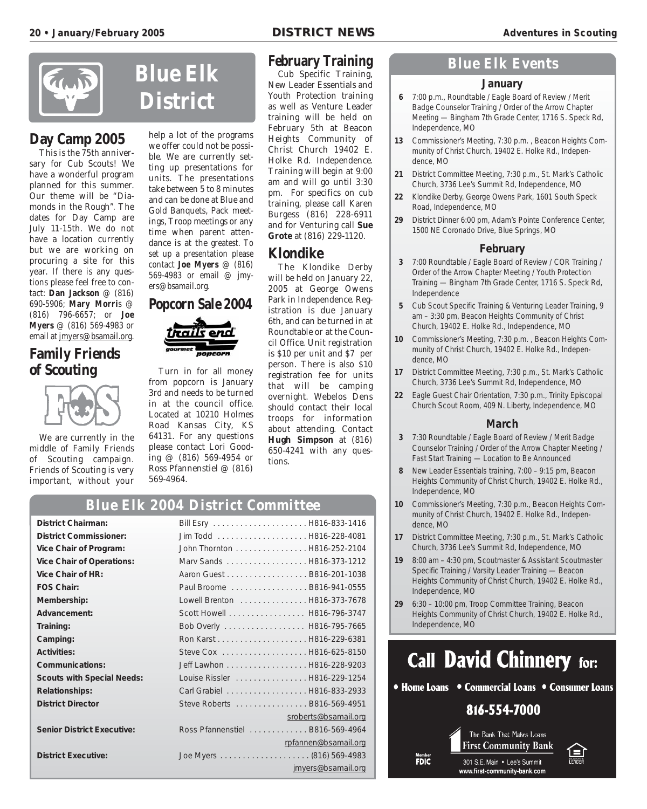

### **Day Camp 2005**

This is the 75th anniversary for Cub Scouts! We have a wonderful program planned for this summer. Our theme will be "Diamonds in the Rough". The dates for Day Camp are July 11-15th. We do not have a location currently but we are working on procuring a site for this year. If there is any questions please feel free to contact: **Dan Jackson** @ (816) 690-5906; **Mary Morri**s @ (816) 796-6657; or **Joe Myers** @ (816) 569-4983 or email at jmyers@bsamail.org.

#### **Family Friends of Scouting**



We are currently in the middle of Family Friends of Scouting campaign. Friends of Scouting is very important, without your



ers@bsamail.org.

**Popcorn Sale 2004**

Turn in for all money from popcorn is January 3rd and needs to be turned in at the council office. Located at 10210 Holmes Road Kansas City, KS 64131. For any questions please contact Lori Gooding @ (816) 569-4954 or Ross Pfannenstiel @ (816)

help a lot of the programs we offer could not be possible. We are currently setting up presentations for units. The presentations take between 5 to 8 minutes and can be done at Blue and Gold Banquets, Pack meetings, Troop meetings or any time when parent attendance is at the greatest. To set up a presentation please contact **Joe Myers** @ (816) 569-4983 or email @ jmy-

#### **February Training**

Cub Specific Training, New Leader Essentials and Youth Protection training as well as Venture Leader training will be held on February 5th at Beacon Heights Community of Christ Church 19402 E. Holke Rd. Independence. Training will begin at 9:00 am and will go until 3:30 pm. For specifics on cub training, please call Karen Burgess (816) 228-6911 and for Venturing call **Sue Grote** at (816) 229-1120.

#### **Klondike**

The Klondike Derby will be held on January 22, 2005 at George Owens Park in Independence. Registration is due January 6th, and can be turned in at Roundtable or at the Council Office. Unit registration is \$10 per unit and \$7 per person. There is also \$10 registration fee for units that will be camping overnight. Webelos Dens should contact their local troops for information about attending. Contact **Hugh Simpson** at (816) 650-4241 with any questions.

#### **Blue Elk 2004 District Committee**

569-4964.

| <b>District Chairman:</b>         |                                  |
|-----------------------------------|----------------------------------|
| <b>District Commissioner:</b>     |                                  |
| Vice Chair of Program:            | John Thornton H816-252-2104      |
| <b>Vice Chair of Operations:</b>  | Marv Sands H816-373-1212         |
| Vice Chair of HR:                 | Aaron Guest B816-201-1038        |
| <b>FOS Chair:</b>                 | Paul Broome  B816-941-0555       |
| Membership:                       | Lowell Brenton H816-373-7678     |
| Advancement:                      | Scott Howell H816-796-3747       |
| Training:                         | Bob Overly H816-795-7665         |
| Camping:                          |                                  |
| <b>Activities:</b>                |                                  |
| Communications:                   | Jeff Lawhon H816-228-9203        |
| <b>Scouts with Special Needs:</b> | Louise Rissler  H816-229-1254    |
| <b>Relationships:</b>             | Carl Grabiel H816-833-2933       |
| <b>District Director</b>          | Steve Roberts B816-569-4951      |
|                                   | sroberts@bsamail.org             |
| <b>Senior District Executive:</b> | Ross Pfannenstiel  B816-569-4964 |
|                                   | rpfannen@bsamail.org             |
| <b>District Executive:</b>        |                                  |
|                                   | jmyers@bsamail.org               |

#### **Blue Elk Events**

#### **January**

- **6** 7:00 p.m., Roundtable / Eagle Board of Review / Merit Badge Counselor Training / Order of the Arrow Chapter Meeting — Bingham 7th Grade Center, 1716 S. Speck Rd, Independence, MO
- **13** Commissioner's Meeting, 7:30 p.m. , Beacon Heights Community of Christ Church, 19402 E. Holke Rd., Independence, MO
- **21** District Committee Meeting, 7:30 p.m., St. Mark's Catholic Church, 3736 Lee's Summit Rd, Independence, MO
- **22** Klondike Derby, George Owens Park, 1601 South Speck Road, Independence, MO
- **29** District Dinner 6:00 pm, Adam's Pointe Conference Center, 1500 NE Coronado Drive, Blue Springs, MO

#### **February**

- **3** 7:00 Roundtable / Eagle Board of Review / COR Training / Order of the Arrow Chapter Meeting / Youth Protection Training — Bingham 7th Grade Center, 1716 S. Speck Rd, Independence
- **5** Cub Scout Specific Training & Venturing Leader Training, 9 am – 3:30 pm, Beacon Heights Community of Christ Church, 19402 E. Holke Rd., Independence, MO
- **10** Commissioner's Meeting, 7:30 p.m. , Beacon Heights Community of Christ Church, 19402 E. Holke Rd., Independence, MO
- **17** District Committee Meeting, 7:30 p.m., St. Mark's Catholic Church, 3736 Lee's Summit Rd, Independence, MO
- **22** Eagle Guest Chair Orientation, 7:30 p.m., Trinity Episcopal Church Scout Room, 409 N. Liberty, Independence, MO

#### **March**

- **3** 7:30 Roundtable / Eagle Board of Review / Merit Badge Counselor Training / Order of the Arrow Chapter Meeting / Fast Start Training — Location to Be Announced
- **8** New Leader Essentials training, 7:00 9:15 pm, Beacon Heights Community of Christ Church, 19402 E. Holke Rd., Independence, MO
- **10** Commissioner's Meeting, 7:30 p.m., Beacon Heights Community of Christ Church, 19402 E. Holke Rd., Independence, MO
- **17** District Committee Meeting, 7:30 p.m., St. Mark's Catholic Church, 3736 Lee's Summit Rd, Independence, MO
- **19** 8:00 am 4:30 pm, Scoutmaster & Assistant Scoutmaster Specific Training / Varsity Leader Training — Beacon Heights Community of Christ Church, 19402 E. Holke Rd., Independence, MO
- **29** 6:30 10:00 pm, Troop Committee Training, Beacon Heights Community of Christ Church, 19402 E. Holke Rd., Independence, MO



• Home Loans • Commercial Loans • Consumer Loans

#### 816-554-7000

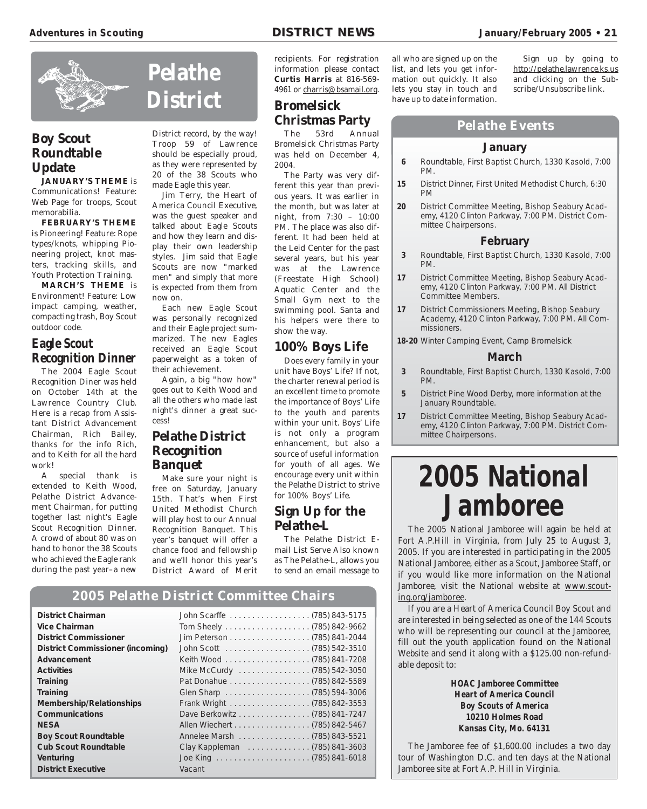

#### **Boy Scout Roundtable Update**

**JANUARY'S THEME** is Communications! Feature: Web Page for troops, Scout memorabilia.

**FEBRUARY'S THEME** is Pioneering! Feature: Rope types/knots, whipping Pioneering project, knot masters, tracking skills, and Youth Protection Training.

**MARCH'S THEME** is Environment! Feature: Low impact camping, weather, compacting trash, Boy Scout outdoor code.

#### **Eagle Scout Recognition Dinner**

The 2004 Eagle Scout Recognition Diner was held on October 14th at the Lawrence Country Club. Here is a recap from Assistant District Advancement Chairman, Rich Bailey, thanks for the info Rich, and to Keith for all the hard work!

A special thank is extended to Keith Wood, Pelathe District Advancement Chairman, for putting together last night's Eagle Scout Recognition Dinner. A crowd of about 80 was on hand to honor the 38 Scouts who achieved the Eagle rank during the past year–a new

# **Pelathe District**

District record, by the way! Troop 59 of Lawrence should be especially proud, as they were represented by 20 of the 38 Scouts who made Eagle this year.

Jim Terry, the Heart of America Council Executive, was the guest speaker and talked about Eagle Scouts and how they learn and display their own leadership styles. Jim said that Eagle Scouts are now "marked men" and simply that more is expected from them from now on.

Each new Eagle Scout was personally recognized and their Eagle project summarized. The new Eagles received an Eagle Scout paperweight as a token of their achievement.

Again, a big "how how" goes out to Keith Wood and all the others who made last night's dinner a great success!

#### **Pelathe District Recognition Banquet**

Make sure your night is free on Saturday, January 15th. That's when First United Methodist Church will play host to our Annual Recognition Banquet. This year's banquet will offer a chance food and fellowship and we'll honor this year's District Award of Merit recipients. For registration information please contact **Curtis Harris** at 816-569- 4961 or charris@bsamail.org.

#### **Bromelsick Christmas Party**

The 53rd Annual Bromelsick Christmas Party was held on December 4, 2004.

The Party was very different this year than previous years. It was earlier in the month, but was later at night, from 7:30 – 10:00 PM. The place was also different. It had been held at the Leid Center for the past several years, but his year was at the Lawrence (Freestate High School) Aquatic Center and the Small Gym next to the swimming pool. Santa and his helpers were there to show the way.

#### **100% Boys Life**

Does every family in your unit have Boys' Life? If not, the charter renewal period is an excellent time to promote the importance of Boys' Life to the youth and parents within your unit. Boys' Life is not only a program enhancement, but also a source of useful information for youth of all ages. We encourage every unit within the Pelathe District to strive for 100% Boys' Life.

#### **Sign Up for the Pelathe-L**

The Pelathe District Email List Serve Also known as The Pelathe-L, allows you to send an email message to

#### **2005 Pelathe District Committee Chairs**

| <b>District Chairman</b>                |                               |
|-----------------------------------------|-------------------------------|
| Vice Chairman                           |                               |
| <b>District Commissioner</b>            |                               |
| <b>District Commissioner (incoming)</b> |                               |
| Advancement                             |                               |
| <b>Activities</b>                       | Mike McCurdy (785) 542-3050   |
| Training                                |                               |
| Training                                |                               |
| <b>Membership/Relationships</b>         |                               |
| <b>Communications</b>                   | Dave Berkowitz (785) 841-7247 |
| <b>NESA</b>                             |                               |
| <b>Boy Scout Roundtable</b>             | Annelee Marsh (785) 843-5521  |
| <b>Cub Scout Roundtable</b>             | Clay Kappleman (785) 841-3603 |
| Venturing                               |                               |
| <b>District Executive</b>               | Vacant                        |

all who are signed up on the list, and lets you get information out quickly. It also lets you stay in touch and have up to date information.

Sign up by going to http://pelathe.lawrence.ks.us and clicking on the Subscribe/Unsubscribe link.

#### **Pelathe Events**

#### **January**

- **6** Roundtable, First Baptist Church, 1330 Kasold, 7:00 PM.
- **15** District Dinner, First United Methodist Church, 6:30 PM
- **20** District Committee Meeting, Bishop Seabury Academy, 4120 Clinton Parkway, 7:00 PM. District Committee Chairpersons.

#### **February**

- **3** Roundtable, First Baptist Church, 1330 Kasold, 7:00 PM.
- **17** District Committee Meeting, Bishop Seabury Academy, 4120 Clinton Parkway, 7:00 PM. All District Committee Members.
- **17** District Commissioners Meeting, Bishop Seabury Academy, 4120 Clinton Parkway, 7:00 PM. All Commissioners.
- **18-20** Winter Camping Event, Camp Bromelsick

#### **March**

- **3** Roundtable, First Baptist Church, 1330 Kasold, 7:00 PM.
- **5** District Pine Wood Derby, more information at the January Roundtable.
- **17** District Committee Meeting, Bishop Seabury Academy, 4120 Clinton Parkway, 7:00 PM. District Committee Chairpersons.

# **2005 National Jamboree**

The 2005 National Jamboree will again be held at Fort A.P.Hill in Virginia, from July 25 to August 3, 2005. If you are interested in participating in the 2005 National Jamboree, either as a Scout, Jamboree Staff, or if you would like more information on the National Jamboree, visit the National website at www.scouting.org/jamboree.

If you are a Heart of America Council Boy Scout and are interested in being selected as one of the 144 Scouts who will be representing our council at the Jamboree, fill out the youth application found on the National Website and send it along with a \$125.00 non-refundable deposit to:

> **HOAC Jamboree Committee Heart of America Council Boy Scouts of America 10210 Holmes Road Kansas City, Mo. 64131**

The Jamboree fee of \$1,600.00 includes a two day tour of Washington D.C. and ten days at the National Jamboree site at Fort A.P. Hill in Virginia.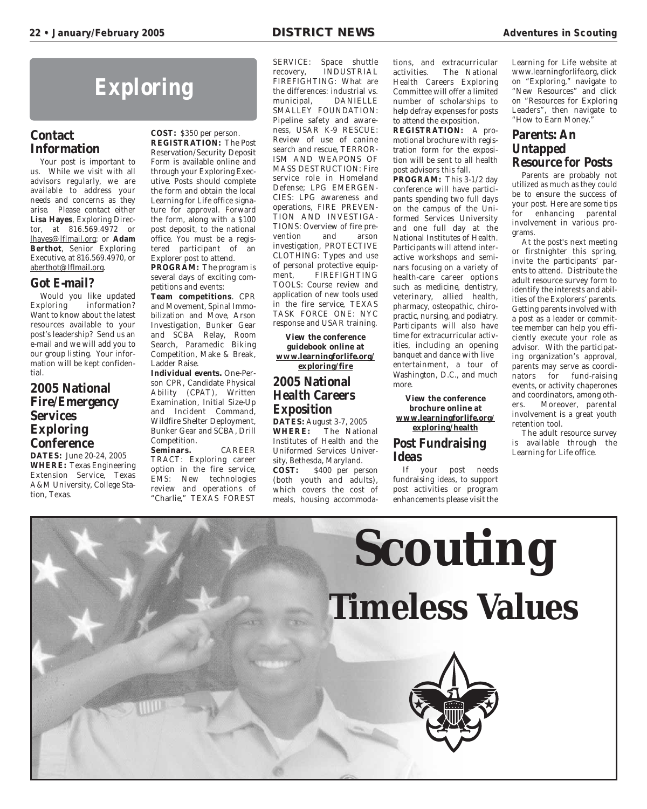### **Exploring**

#### **Contact Information**

Your post is important to us. While we visit with all advisors regularly, we are available to address your needs and concerns as they arise. Please contact either **Lisa Hayes**, Exploring Director, at 816.569.4972 or lhayes@lflmail.org; or **Adam Berthot**, Senior Exploring Executive, at 816.569.4970, or aberthot@lflmail.org.

#### **Got E-mail?**

Would you like updated Exploring information? Want to know about the latest resources available to your post's leadership? Send us an e-mail and we will add you to our group listing. Your information will be kept confidential.

#### **2005 National Fire/Emergency Services Exploring Conference**

**DATES:** June 20-24, 2005 **WHERE:** Texas Engineering Extension Service, Texas A&M University, College Station, Texas.

#### **COST:** \$350 per person. **REGISTRATION:** The Post Reservation/Security Deposit Form is available online and through your Exploring Executive. Posts should complete the form and obtain the local Learning for Life office signature for approval. Forward the form, along with a \$100 post deposit, to the national office. You must be a registered participant of an Explorer post to attend.

**PROGRAM:** The program is several days of exciting competitions and events:

**Team competitions**. CPR and Movement, Spinal Immobilization and Move, Arson Investigation, Bunker Gear and SCBA Relay, Room Search, Paramedic Biking Competition, Make & Break, Ladder Raise.

**Individual events.** One-Person CPR, Candidate Physical Ability (CPAT), Written Examination, Initial Size-Up and Incident Command, Wildfire Shelter Deployment, Bunker Gear and SCBA, Drill Competition.

**Seminars.** CAREER TRACT: Exploring career option in the fire service, EMS: New technologies review and operations of "Charlie," TEXAS FOREST

SERVICE: Space shuttle recovery, INDUSTRIAL FIREFIGHTING: What are the differences: industrial vs. municipal, DANIELLE SMALLEY FOUNDATION: Pipeline safety and awareness, USAR K-9 RESCUE: Review of use of canine search and rescue, TERROR-ISM AND WEAPONS OF MASS DESTRUCTION: Fire service role in Homeland Defense; LPG EMERGEN-CIES: LPG awareness and operations, FIRE PREVEN-TION AND INVESTIGA-TIONS: Overview of fire prevention and arson investigation, PROTECTIVE CLOTHING: Types and use of personal protective equipment, FIREFIGHTING TOOLS: Course review and application of new tools used in the fire service, TEXAS TASK FORCE ONE: NYC response and USAR training.

**View the conference guidebook online at www.learningforlife.org/ exploring/fire**

#### **2005 National Health Careers Exposition**

**DATES:** August 3-7, 2005<br>**WHERE:** The Nation The National Institutes of Health and the Uniformed Services University, Bethesda, Maryland.<br>COST: \$400 per per S400 per person (both youth and adults), which covers the cost of meals, housing accommodations, and extracurricular activities. The National Health Careers Exploring Committee will offer a limited number of scholarships to help defray expenses for posts to attend the exposition.

**REGISTRATION:** A promotional brochure with registration form for the exposition will be sent to all health post advisors this fall.

**PROGRAM:** This 3-1/2 day conference will have participants spending two full days on the campus of the Uniformed Services University and one full day at the National Institutes of Health. Participants will attend interactive workshops and seminars focusing on a variety of health-care career options such as medicine, dentistry, veterinary, allied health, pharmacy, osteopathic, chiropractic, nursing, and podiatry. Participants will also have time for extracurricular activities, including an opening banquet and dance with live entertainment, a tour of Washington, D.C., and much more.

**View the conference brochure online at www.learningforlife.org/ exploring/health**

#### **Post Fundraising Ideas**

If your post needs fundraising ideas, to support post activities or program enhancements please visit the Learning for Life website at www.learningforlife.org, click on "Exploring," navigate to "New Resources" and click on "Resources for Exploring Leaders", then navigate to "How to Earn Money."

#### **Parents: An Untapped Resource for Posts**

Parents are probably not utilized as much as they could be to ensure the success of your post. Here are some tips for enhancing parental involvement in various programs.

At the post's next meeting or firstnighter this spring, invite the participants' parents to attend. Distribute the adult resource survey form to identify the interests and abilities of the Explorers' parents. Getting parents involved with a post as a leader or committee member can help you efficiently execute your role as advisor. With the participating organization's approval, parents may serve as coordinators for fund-raising events, or activity chaperones and coordinators, among others. Moreover, parental involvement is a great youth retention tool.

The adult resource survey is available through the Learning for Life office.

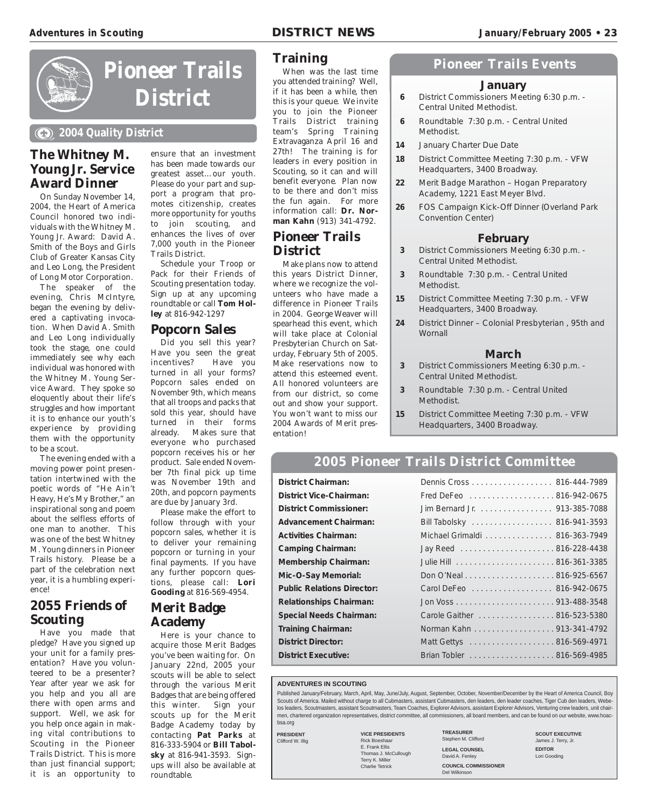

### **Pioneer Trails District**

#### **2004 Quality District**

#### **The Whitney M. Young Jr. Service Award Dinner**

On Sunday November 14, 2004, the Heart of America Council honored two individuals with the Whitney M. Young Jr. Award: David A. Smith of the Boys and Girls Club of Greater Kansas City and Leo Long, the President of Long Motor Corporation.

The speaker of the evening, Chris McIntyre, began the evening by delivered a captivating invocation. When David A. Smith and Leo Long individually took the stage, one could immediately see why each individual was honored with the Whitney M. Young Service Award. They spoke so eloquently about their life's struggles and how important it is to enhance our youth's experience by providing them with the opportunity to be a scout.

The evening ended with a moving power point presentation intertwined with the poetic words of "He Ain't Heavy, He's My Brother," an inspirational song and poem about the selfless efforts of one man to another. This was one of the best Whitney M. Young dinners in Pioneer Trails history. Please be a part of the celebration next year, it is a humbling experience!

#### **2055 Friends of Scouting**

Have you made that pledge? Have you signed up your unit for a family presentation? Have you volunteered to be a presenter? Year after year we ask for you help and you all are there with open arms and support. Well, we ask for you help once again in making vital contributions to Scouting in the Pioneer Trails District. This is more than just financial support; it is an opportunity to

ensure that an investment has been made towards our greatest asset…our youth. Please do your part and support a program that promotes citizenship, creates more opportunity for youths to join scouting, and enhances the lives of over 7,000 youth in the Pioneer Trails District.

Schedule your Troop or Pack for their Friends of Scouting presentation today. Sign up at any upcoming roundtable or call **Tom Holley** at 816-942-1297

#### **Popcorn Sales**

Did you sell this year? Have you seen the great<br>incentives? Have you Have you turned in all your forms? Popcorn sales ended on November 9th, which means that all troops and packs that sold this year, should have turned in their forms already. Makes sure that everyone who purchased popcorn receives his or her product. Sale ended November 7th final pick up time was November 19th and 20th, and popcorn payments are due by January 3rd.

Please make the effort to follow through with your popcorn sales, whether it is to deliver your remaining popcorn or turning in your final payments. If you have any further popcorn questions, please call: **Lori Gooding** at 816-569-4954.

#### **Merit Badge Academy**

Here is your chance to acquire those Merit Badges you've been waiting for. On January 22nd, 2005 your scouts will be able to select through the various Merit Badges that are being offered this winter. Sign your scouts up for the Merit Badge Academy today by contacting **Pat Parks** at 816-333-5904 or **Bill Tabolsky** at 816-941-3593. Signups will also be available at roundtable.

#### **Training**

When was the last time you attended training? Well, if it has been a while, then this is your queue. We invite you to join the Pioneer Trails District training team's Spring Training Extravaganza April 16 and 27th! The training is for leaders in every position in Scouting, so it can and will benefit everyone. Plan now to be there and don't miss the fun again. For more information call: **Dr. Norman Kahn** (913) 341-4792.

#### **Pioneer Trails District**

Make plans now to attend this years District Dinner, where we recognize the volunteers who have made a difference in Pioneer Trails in 2004. George Weaver will spearhead this event, which will take place at Colonial Presbyterian Church on Saturday, February 5th of 2005. Make reservations now to attend this esteemed event. All honored volunteers are from our district, so come out and show your support. You won't want to miss our 2004 Awards of Merit presentation!

#### **Pioneer Trails Events**

#### **January**

- **6** District Commissioners Meeting 6:30 p.m. Central United Methodist.
- **6** Roundtable 7:30 p.m. Central United Methodist.
- **14** January Charter Due Date
- **18** District Committee Meeting 7:30 p.m. VFW Headquarters, 3400 Broadway.
- **22** Merit Badge Marathon Hogan Preparatory Academy, 1221 East Meyer Blvd.
- **26** FOS Campaign Kick-Off Dinner (Overland Park Convention Center)

#### **February**

- **3** District Commissioners Meeting 6:30 p.m. Central United Methodist.
- **3** Roundtable 7:30 p.m. Central United Methodist.
- **15** District Committee Meeting 7:30 p.m. VFW Headquarters, 3400 Broadway.
- **24** District Dinner Colonial Presbyterian , 95th and **Wornall**

#### **March**

- **3** District Commissioners Meeting 6:30 p.m. Central United Methodist.
- **3** Roundtable 7:30 p.m. Central United Methodist.
- **15** District Committee Meeting 7:30 p.m. VFW Headquarters, 3400 Broadway.

#### **2005 Pioneer Trails District Committee**

**District Chairman:** Dennis Cross . . . . . . . . . . . . . . . . . . 816-444-7989 **District Vice-Chairman:** Fred DeFeo . . . . . . . . . . . . . . . . . . . 816-942-0675 **District Commissioner:** Jim Bernard Jr. . . . . . . . . . . . . . . . . 913-385-7088 **Advancement Chairman:** Bill Tabolsky . . . . . . . . . . . . . . . . . . 816-941-3593 **Activities Chairman:** Michael Grimaldi . . . . . . . . . . . . . . . 816-363-7949 **Camping Chairman:** Jay Reed . . . . . . . . . . . . . . . . . . . . . 816-228-4438 **Membership Chairman:** Julie Hill . . . . . . . . . . . . . . . . . . . . . . 816-361-3385 **Mic-O-Say Memorial:** Don O'Neal . . . . . . . . . . . . . . . . . . . . 816-925-6567 **Public Relations Director:** Carol DeFeo . . . . . . . . . . . . . . . . . . 816-942-0675 **Relationships Chairman:** Jon Voss . . . . . . . . . . . . . . . . . . . . . . 913-488-3548 **Special Needs Chairman:** Carole Gaither . . . . . . . . . . . . . . . . . 816-523-5380 **Training Chairman:** Norman Kahn . . . . . . . . . . . . . . . . . . 913-341-4792 **District Director:** Matt Gettys . . . . . . . . . . . . . . . . . 816-569-4971 **District Executive:** Brian Tobler . . . . . . . . . . . . . . . . . . . 816-569-4985

#### **ADVENTURES IN SCOUTING**

Published January/February, March, April, May, June/July, August, September, October, November/December by the Heart of America Council, Boy Scouts of America. Mailed without charge to all Cubmasters, assistant Cubmasters, den leaders, den leader coaches, Tiger Cub den leaders, Webelos leaders, Scoutmasters, assistant Scoutmasters, Team Coaches, Explorer Advisors, assistant Explorer Advisors, Venturing crew leaders, unit chairmen, chartered organization representatives, district committee, all commissioners, all board members, and can be found on our website, www.hoacbsa.org

**PRESIDENT** Clifford W. Illig

**VICE PRESIDENTS** Rick Boeshaar E. Frank Ellis Thomas J. McCullough Terry K. Miller Charlie Tetrick

**TREASURER** Stephen M. Clifford **LEGAL COUNSEL** David A. Fenley

**SCOUT EXECUTIVE** James J. Terry, Jr. **EDITOR** Lori Gooding

**COUNCIL COMMISSIONER** Del Wilkinson